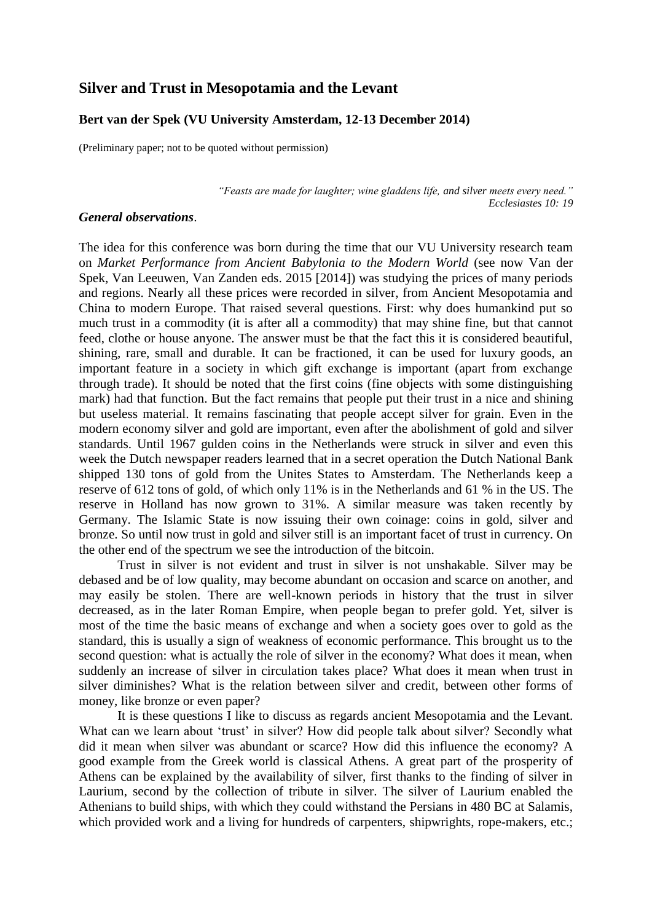# **Silver and Trust in Mesopotamia and the Levant**

#### **Bert van der Spek (VU University Amsterdam, 12-13 December 2014)**

(Preliminary paper; not to be quoted without permission)

*"Feasts are made for laughter; wine gladdens life, and silver meets every need." Ecclesiastes 10: 19*

#### *General observations*.

The idea for this conference was born during the time that our VU University research team on *Market Performance from Ancient Babylonia to the Modern World* (see now Van der Spek, Van Leeuwen, Van Zanden eds. 2015 [2014]) was studying the prices of many periods and regions. Nearly all these prices were recorded in silver, from Ancient Mesopotamia and China to modern Europe. That raised several questions. First: why does humankind put so much trust in a commodity (it is after all a commodity) that may shine fine, but that cannot feed, clothe or house anyone. The answer must be that the fact this it is considered beautiful, shining, rare, small and durable. It can be fractioned, it can be used for luxury goods, an important feature in a society in which gift exchange is important (apart from exchange through trade). It should be noted that the first coins (fine objects with some distinguishing mark) had that function. But the fact remains that people put their trust in a nice and shining but useless material. It remains fascinating that people accept silver for grain. Even in the modern economy silver and gold are important, even after the abolishment of gold and silver standards. Until 1967 gulden coins in the Netherlands were struck in silver and even this week the Dutch newspaper readers learned that in a secret operation the Dutch National Bank shipped 130 tons of gold from the Unites States to Amsterdam. The Netherlands keep a reserve of 612 tons of gold, of which only 11% is in the Netherlands and 61 % in the US. The reserve in Holland has now grown to 31%. A similar measure was taken recently by Germany. The Islamic State is now issuing their own coinage: coins in gold, silver and bronze. So until now trust in gold and silver still is an important facet of trust in currency. On the other end of the spectrum we see the introduction of the bitcoin.

Trust in silver is not evident and trust in silver is not unshakable. Silver may be debased and be of low quality, may become abundant on occasion and scarce on another, and may easily be stolen. There are well-known periods in history that the trust in silver decreased, as in the later Roman Empire, when people began to prefer gold. Yet, silver is most of the time the basic means of exchange and when a society goes over to gold as the standard, this is usually a sign of weakness of economic performance. This brought us to the second question: what is actually the role of silver in the economy? What does it mean, when suddenly an increase of silver in circulation takes place? What does it mean when trust in silver diminishes? What is the relation between silver and credit, between other forms of money, like bronze or even paper?

It is these questions I like to discuss as regards ancient Mesopotamia and the Levant. What can we learn about 'trust' in silver? How did people talk about silver? Secondly what did it mean when silver was abundant or scarce? How did this influence the economy? A good example from the Greek world is classical Athens. A great part of the prosperity of Athens can be explained by the availability of silver, first thanks to the finding of silver in Laurium, second by the collection of tribute in silver. The silver of Laurium enabled the Athenians to build ships, with which they could withstand the Persians in 480 BC at Salamis, which provided work and a living for hundreds of carpenters, shipwrights, rope-makers, etc.;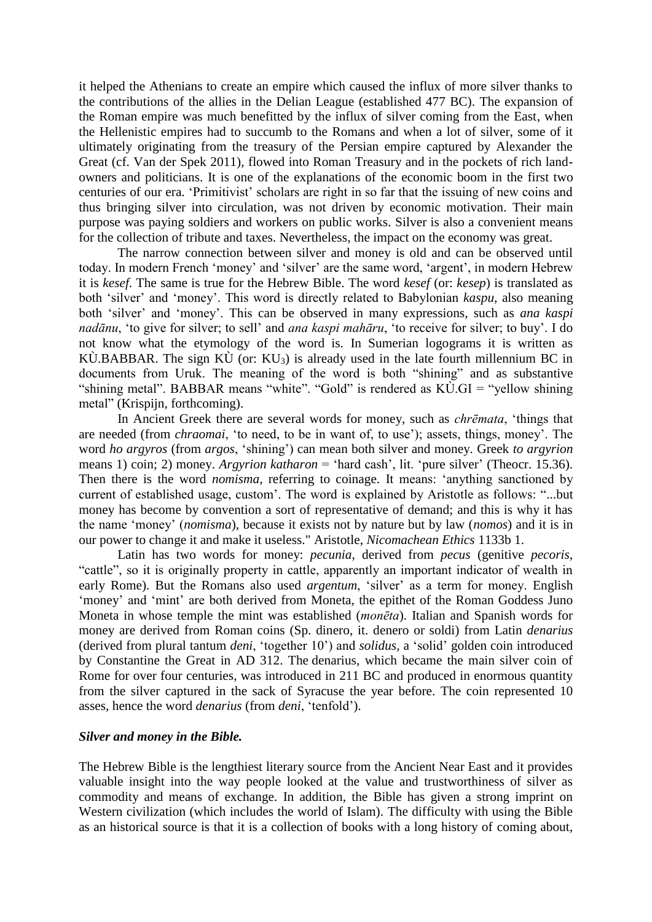it helped the Athenians to create an empire which caused the influx of more silver thanks to the contributions of the allies in the Delian League (established 477 BC). The expansion of the Roman empire was much benefitted by the influx of silver coming from the East, when the Hellenistic empires had to succumb to the Romans and when a lot of silver, some of it ultimately originating from the treasury of the Persian empire captured by Alexander the Great (cf. Van der Spek 2011), flowed into Roman Treasury and in the pockets of rich landowners and politicians. It is one of the explanations of the economic boom in the first two centuries of our era. 'Primitivist' scholars are right in so far that the issuing of new coins and thus bringing silver into circulation, was not driven by economic motivation. Their main purpose was paying soldiers and workers on public works. Silver is also a convenient means for the collection of tribute and taxes. Nevertheless, the impact on the economy was great.

The narrow connection between silver and money is old and can be observed until today. In modern French 'money' and 'silver' are the same word, 'argent', in modern Hebrew it is *kesef*. The same is true for the Hebrew Bible. The word *kesef* (or: *kesep*) is translated as both 'silver' and 'money'. This word is directly related to Babylonian *kaspu*, also meaning both 'silver' and 'money'. This can be observed in many expressions, such as *ana kaspi nadānu*, 'to give for silver; to sell' and *ana kaspi mahāru*, 'to receive for silver; to buy'. I do not know what the etymology of the word is. In Sumerian logograms it is written as KÙ.BABBAR. The sign  $\widehat{K}$  (or:  $\widehat{K}U_3$ ) is already used in the late fourth millennium BC in documents from Uruk. The meaning of the word is both "shining" and as substantive "shining metal". BABBAR means "white". "Gold" is rendered as KÙ.GI = "yellow shining metal" (Krispijn, forthcoming).

In Ancient Greek there are several words for money, such as *chrēmata*, 'things that are needed (from *chraomai*, 'to need, to be in want of, to use'); assets, things, money'. The word *ho argyros* (from *argos*, 'shining') can mean both silver and money. Greek *to argyrion*  means 1) coin; 2) money. *Argyrion katharon* = 'hard cash', lit. 'pure silver' (Theocr. 15.36). Then there is the word *nomisma,* referring to coinage. It means: 'anything sanctioned by current of established usage, custom'. The word is explained by Aristotle as follows: "...but money has become by convention a sort of representative of demand; and this is why it has the name 'money' (*nomisma*), because it exists not by nature but by law (*nomos*) and it is in our power to change it and make it useless." Aristotle, *Nicomachean Ethics* 1133b 1.

Latin has two words for money: *pecunia*, derived from *pecus* (genitive *pecoris*, "cattle", so it is originally property in cattle, apparently an important indicator of wealth in early Rome). But the Romans also used *argentum*, 'silver' as a term for money. English 'money' and 'mint' are both derived from Moneta, the epithet of the Roman Goddess Juno Moneta in whose temple the mint was established (*monēta*). Italian and Spanish words for money are derived from Roman coins (Sp. dinero, it. denero or soldi) from Latin *denarius* (derived from plural tantum *deni*, 'together 10') and *solidus,* a 'solid' golden coin introduced by Constantine the Great in AD 312. The denarius, which became the main silver coin of Rome for over four centuries, was introduced in 211 BC and produced in enormous quantity from the silver captured in the sack of Syracuse the year before. The coin represented 10 asses, hence the word *denarius* (from *deni*, 'tenfold').

## *Silver and money in the Bible.*

The Hebrew Bible is the lengthiest literary source from the Ancient Near East and it provides valuable insight into the way people looked at the value and trustworthiness of silver as commodity and means of exchange. In addition, the Bible has given a strong imprint on Western civilization (which includes the world of Islam). The difficulty with using the Bible as an historical source is that it is a collection of books with a long history of coming about,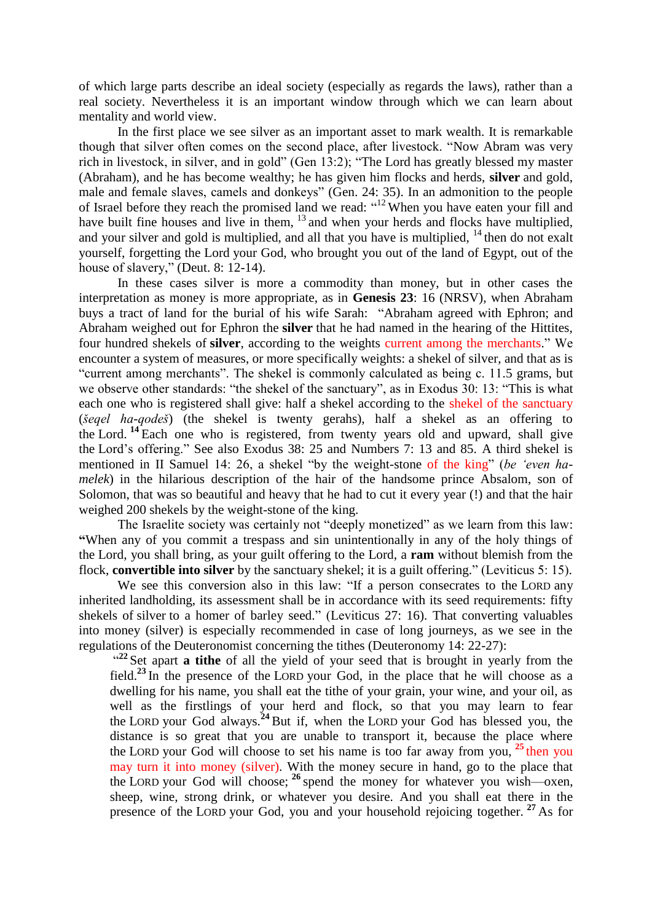of which large parts describe an ideal society (especially as regards the laws), rather than a real society. Nevertheless it is an important window through which we can learn about mentality and world view.

In the first place we see silver as an important asset to mark wealth. It is remarkable though that silver often comes on the second place, after livestock. "Now Abram was very rich in livestock, in silver, and in gold" (Gen 13:2); "The Lord has greatly blessed my master (Abraham), and he has become wealthy; he has given him flocks and herds, **silver** and gold, male and female slaves, camels and donkeys" (Gen. 24: 35). In an admonition to the people of Israel before they reach the promised land we read: "<sup>12</sup> When you have eaten your fill and have built fine houses and live in them, <sup>13</sup> and when your herds and flocks have multiplied, and your silver and gold is multiplied, and all that you have is multiplied,  $14$  then do not exalt yourself, forgetting the Lord your God, who brought you out of the land of Egypt, out of the house of slavery," (Deut. 8: 12-14).

In these cases silver is more a commodity than money, but in other cases the interpretation as money is more appropriate, as in **Genesis 23**: 16 (NRSV), when Abraham buys a tract of land for the burial of his wife Sarah: "Abraham agreed with Ephron; and Abraham weighed out for Ephron the **silver** that he had named in the hearing of the Hittites, four hundred shekels of **silver**, according to the weights current among the merchants." We encounter a system of measures, or more specifically weights: a shekel of silver, and that as is "current among merchants". The shekel is commonly calculated as being c. 11.5 grams, but we observe other standards: "the shekel of the sanctuary", as in Exodus 30: 13: "This is what each one who is registered shall give: half a shekel according to the shekel of the sanctuary (*šeqel ha-qodeš*) (the shekel is twenty gerahs), half a shekel as an offering to the Lord. **<sup>14</sup>** Each one who is registered, from twenty years old and upward, shall give the Lord's offering." See also Exodus 38: 25 and Numbers 7: 13 and 85. A third shekel is mentioned in II Samuel 14: 26, a shekel "by the weight-stone of the king" (*be 'even hamelek*) in the hilarious description of the hair of the handsome prince Absalom, son of Solomon, that was so beautiful and heavy that he had to cut it every year (!) and that the hair weighed 200 shekels by the weight-stone of the king.

The Israelite society was certainly not "deeply monetized" as we learn from this law: **"**When any of you commit a trespass and sin unintentionally in any of the holy things of the Lord, you shall bring, as your guilt offering to the Lord, a **ram** without blemish from the flock, **convertible into silver** by the sanctuary shekel; it is a guilt offering." (Leviticus 5: 15).

We see this conversion also in this law: "If a person consecrates to the LORD any inherited landholding, its assessment shall be in accordance with its seed requirements: fifty shekels of silver to a homer of barley seed." (Leviticus 27: 16). That converting valuables into money (silver) is especially recommended in case of long journeys, as we see in the regulations of the Deuteronomist concerning the tithes (Deuteronomy 14: 22-27):

<sup>22</sup> Set apart **a tithe** of all the yield of your seed that is brought in yearly from the field.**<sup>23</sup>** In the presence of the LORD your God, in the place that he will choose as a dwelling for his name, you shall eat the tithe of your grain, your wine, and your oil, as well as the firstlings of your herd and flock, so that you may learn to fear the LORD your God always.**<sup>24</sup>** But if, when the LORD your God has blessed you, the distance is so great that you are unable to transport it, because the place where the LORD your God will choose to set his name is too far away from you, **<sup>25</sup>** then you may turn it into money (silver). With the money secure in hand, go to the place that the LORD your God will choose; **<sup>26</sup>** spend the money for whatever you wish—oxen, sheep, wine, strong drink, or whatever you desire. And you shall eat there in the presence of the LORD your God, you and your household rejoicing together. **<sup>27</sup>** As for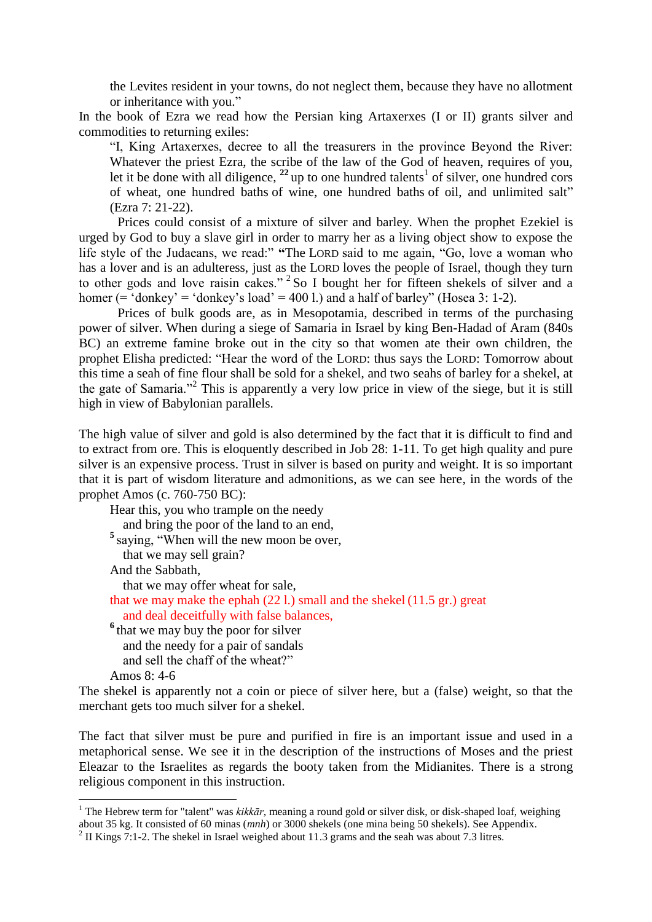the Levites resident in your towns, do not neglect them, because they have no allotment or inheritance with you."

In the book of Ezra we read how the Persian king Artaxerxes (I or II) grants silver and commodities to returning exiles:

"I, King Artaxerxes, decree to all the treasurers in the province Beyond the River: Whatever the priest Ezra, the scribe of the law of the God of heaven, requires of you, let it be done with all diligence,  $^{22}$  up to one hundred talents<sup>1</sup> of silver, one hundred cors of wheat, one hundred baths of wine, one hundred baths of oil, and unlimited salt" (Ezra 7: 21-22).

Prices could consist of a mixture of silver and barley. When the prophet Ezekiel is urged by God to buy a slave girl in order to marry her as a living object show to expose the life style of the Judaeans, we read:" **"**The LORD said to me again, "Go, love a woman who has a lover and is an adulteress, just as the LORD loves the people of Israel, though they turn to other gods and love raisin cakes."<sup>2</sup> So I bought her for fifteen shekels of silver and a homer (= 'donkey' = 'donkey's load' = 400 l.) and a half of barley" (Hosea 3: 1-2).

Prices of bulk goods are, as in Mesopotamia, described in terms of the purchasing power of silver. When during a siege of Samaria in Israel by king Ben-Hadad of Aram (840s BC) an extreme famine broke out in the city so that women ate their own children, the prophet Elisha predicted: "Hear the word of the LORD: thus says the LORD: Tomorrow about this time a seah of fine flour shall be sold for a shekel, and two seahs of barley for a shekel, at the gate of Samaria."<sup>2</sup> This is apparently a very low price in view of the siege, but it is still high in view of Babylonian parallels.

The high value of silver and gold is also determined by the fact that it is difficult to find and to extract from ore. This is eloquently described in Job 28: 1-11. To get high quality and pure silver is an expensive process. Trust in silver is based on purity and weight. It is so important that it is part of wisdom literature and admonitions, as we can see here, in the words of the prophet Amos (c. 760-750 BC):

Hear this, you who trample on the needy and bring the poor of the land to an end, <sup>5</sup> saying, "When will the new moon be over, that we may sell grain? And the Sabbath,

that we may offer wheat for sale,

that we may make the ephah (22 l.) small and the shekel (11.5 gr.) great and deal deceitfully with false balances,

<sup>6</sup> that we may buy the poor for silver and the needy for a pair of sandals and sell the chaff of the wheat?"

Amos 8: 4-6

1

The shekel is apparently not a coin or piece of silver here, but a (false) weight, so that the merchant gets too much silver for a shekel.

The fact that silver must be pure and purified in fire is an important issue and used in a metaphorical sense. We see it in the description of the instructions of Moses and the priest Eleazar to the Israelites as regards the booty taken from the Midianites. There is a strong religious component in this instruction.

<sup>&</sup>lt;sup>1</sup> The Hebrew term for "talent" was *kikkār*, meaning a round gold or silver disk, or disk-shaped loaf, weighing about 35 kg. It consisted of 60 minas (*mnh*) or 3000 shekels (one mina being 50 shekels). See Appendix.

<sup>&</sup>lt;sup>2</sup> II Kings 7:1-2. The shekel in Israel weighed about 11.3 grams and the seah was about 7.3 litres.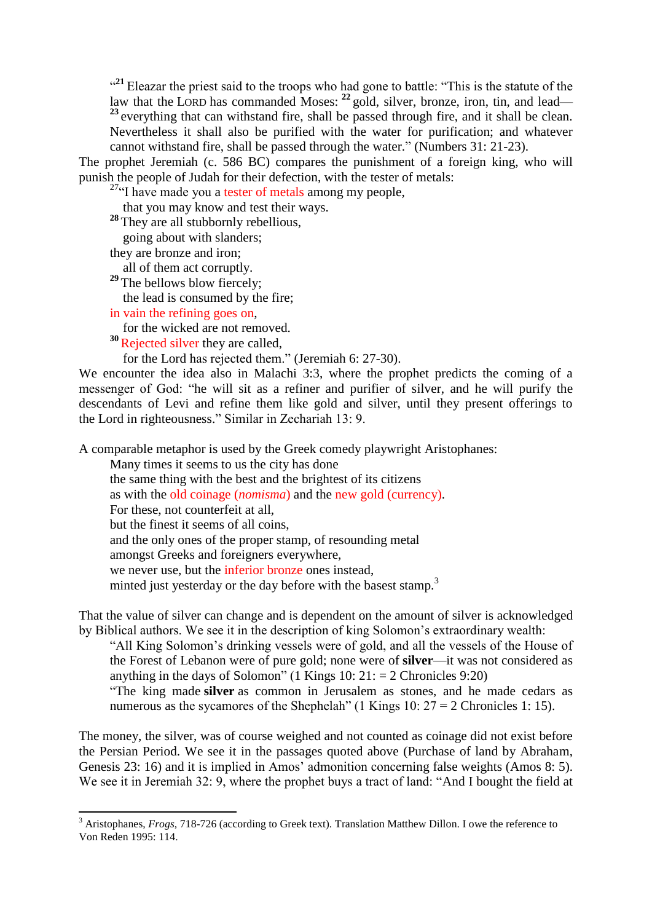<sup>21</sup> Eleazar the priest said to the troops who had gone to battle: "This is the statute of the law that the LORD has commanded Moses: <sup>22</sup> gold, silver, bronze, iron, tin, and lead— <sup>23</sup> everything that can withstand fire, shall be passed through fire, and it shall be clean. Nevertheless it shall also be purified with the water for purification; and whatever cannot withstand fire, shall be passed through the water." (Numbers 31: 21-23).

The prophet Jeremiah (c. 586 BC) compares the punishment of a foreign king, who will punish the people of Judah for their defection, with the tester of metals:

<sup>27</sup>"I have made you a tester of metals among my people,

that you may know and test their ways.

**<sup>28</sup>** They are all stubbornly rebellious,

going about with slanders;

they are bronze and iron;

all of them act corruptly.

<sup>29</sup> The bellows blow fiercely; the lead is consumed by the fire;

in vain the refining goes on,

**.** 

for the wicked are not removed.

<sup>30</sup>Rejected silver they are called,

for the Lord has rejected them." (Jeremiah 6: 27-30).

We encounter the idea also in Malachi 3:3, where the prophet predicts the coming of a messenger of God: "he will sit as a refiner and purifier of silver, and he will purify the descendants of Levi and refine them like gold and silver, until they present offerings to the Lord in righteousness." Similar in Zechariah 13: 9.

A comparable metaphor is used by the Greek comedy playwright Aristophanes:

Many times it seems to us the city has done

the same thing with the best and the brightest of its citizens as with the old coinage (*nomisma*) and the new gold (currency). For these, not counterfeit at all, but the finest it seems of all coins, and the only ones of the proper stamp, of resounding metal amongst Greeks and foreigners everywhere, we never use, but the inferior bronze ones instead, minted just yesterday or the day before with the basest stamp.<sup>3</sup>

That the value of silver can change and is dependent on the amount of silver is acknowledged by Biblical authors. We see it in the description of king Solomon's extraordinary wealth:

"All King Solomon's drinking vessels were of gold, and all the vessels of the House of the Forest of Lebanon were of pure gold; none were of **silver**—it was not considered as anything in the days of Solomon" (1 Kings 10:  $21: = 2$  Chronicles 9:20)

"The king made **silver** as common in Jerusalem as stones, and he made cedars as numerous as the sycamores of the Shephelah" (1 Kings 10:  $27 = 2$  Chronicles 1: 15).

The money, the silver, was of course weighed and not counted as coinage did not exist before the Persian Period. We see it in the passages quoted above (Purchase of land by Abraham, Genesis 23: 16) and it is implied in Amos' admonition concerning false weights (Amos 8: 5). We see it in Jeremiah 32: 9, where the prophet buys a tract of land: "And I bought the field at

<sup>&</sup>lt;sup>3</sup> Aristophanes, *Frogs*, 718-726 (according to Greek text). Translation Matthew Dillon. I owe the reference to Von Reden 1995: 114.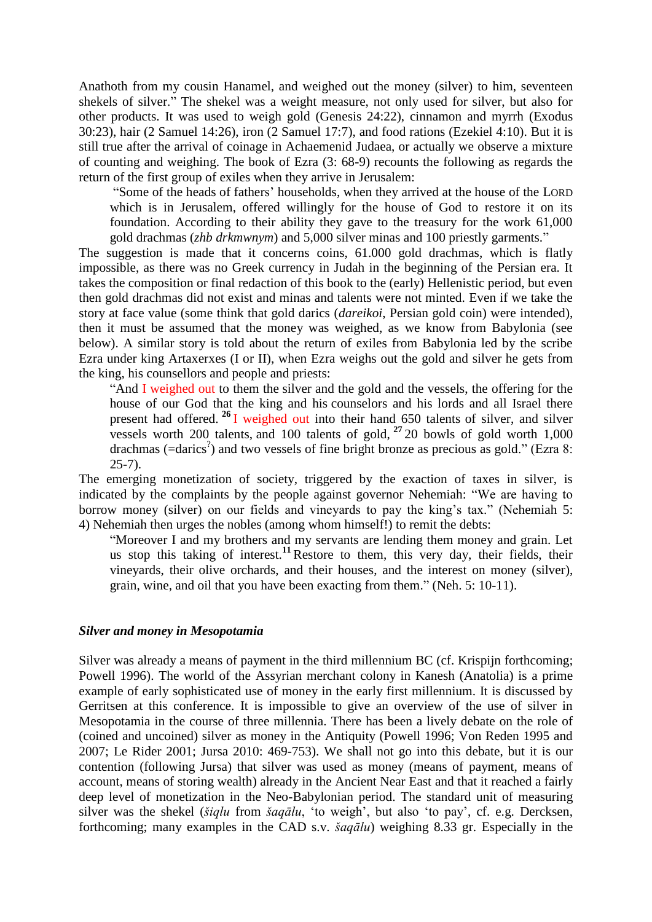Anathoth from my cousin Hanamel, and weighed out the money (silver) to him, seventeen shekels of silver." The shekel was a weight measure, not only used for silver, but also for other products. It was used to weigh gold (Genesis 24:22), cinnamon and myrrh (Exodus 30:23), hair (2 Samuel 14:26), iron (2 Samuel 17:7), and food rations (Ezekiel 4:10). But it is still true after the arrival of coinage in Achaemenid Judaea, or actually we observe a mixture of counting and weighing. The book of Ezra (3: 68-9) recounts the following as regards the return of the first group of exiles when they arrive in Jerusalem:

"Some of the heads of fathers' households, when they arrived at the house of the LORD which is in Jerusalem, offered willingly for the house of God to restore it on its foundation. According to their ability they gave to the treasury for the work 61,000 gold drachmas (*zhb drkmwnym*) and 5,000 silver minas and 100 priestly garments."

The suggestion is made that it concerns coins, 61.000 gold drachmas, which is flatly impossible, as there was no Greek currency in Judah in the beginning of the Persian era. It takes the composition or final redaction of this book to the (early) Hellenistic period, but even then gold drachmas did not exist and minas and talents were not minted. Even if we take the story at face value (some think that gold darics (*dareikoi*, Persian gold coin) were intended), then it must be assumed that the money was weighed, as we know from Babylonia (see below). A similar story is told about the return of exiles from Babylonia led by the scribe Ezra under king Artaxerxes (I or II), when Ezra weighs out the gold and silver he gets from the king, his counsellors and people and priests:

"And I weighed out to them the silver and the gold and the vessels, the offering for the house of our God that the king and his counselors and his lords and all Israel there present had offered. **<sup>26</sup>** I weighed out into their hand 650 talents of silver, and silver vessels worth 200 talents, and 100 talents of gold, **<sup>27</sup>** 20 bowls of gold worth 1,000 drachmas (=darics? ) and two vessels of fine bright bronze as precious as gold." (Ezra 8: 25-7).

The emerging monetization of society, triggered by the exaction of taxes in silver, is indicated by the complaints by the people against governor Nehemiah: "We are having to borrow money (silver) on our fields and vineyards to pay the king's tax." (Nehemiah 5: 4) Nehemiah then urges the nobles (among whom himself!) to remit the debts:

"Moreover I and my brothers and my servants are lending them money and grain. Let us stop this taking of interest.**<sup>11</sup>** Restore to them, this very day, their fields, their vineyards, their olive orchards, and their houses, and the interest on money (silver), grain, wine, and oil that you have been exacting from them." (Neh. 5: 10-11).

### *Silver and money in Mesopotamia*

Silver was already a means of payment in the third millennium BC (cf. Krispijn forthcoming; Powell 1996). The world of the Assyrian merchant colony in Kanesh (Anatolia) is a prime example of early sophisticated use of money in the early first millennium. It is discussed by Gerritsen at this conference. It is impossible to give an overview of the use of silver in Mesopotamia in the course of three millennia. There has been a lively debate on the role of (coined and uncoined) silver as money in the Antiquity (Powell 1996; Von Reden 1995 and 2007; Le Rider 2001; Jursa 2010: 469-753). We shall not go into this debate, but it is our contention (following Jursa) that silver was used as money (means of payment, means of account, means of storing wealth) already in the Ancient Near East and that it reached a fairly deep level of monetization in the Neo-Babylonian period. The standard unit of measuring silver was the shekel (*šiqlu* from *šaqālu*, 'to weigh', but also 'to pay', cf. e.g. Dercksen, forthcoming; many examples in the CAD s.v. *šaqālu*) weighing 8.33 gr. Especially in the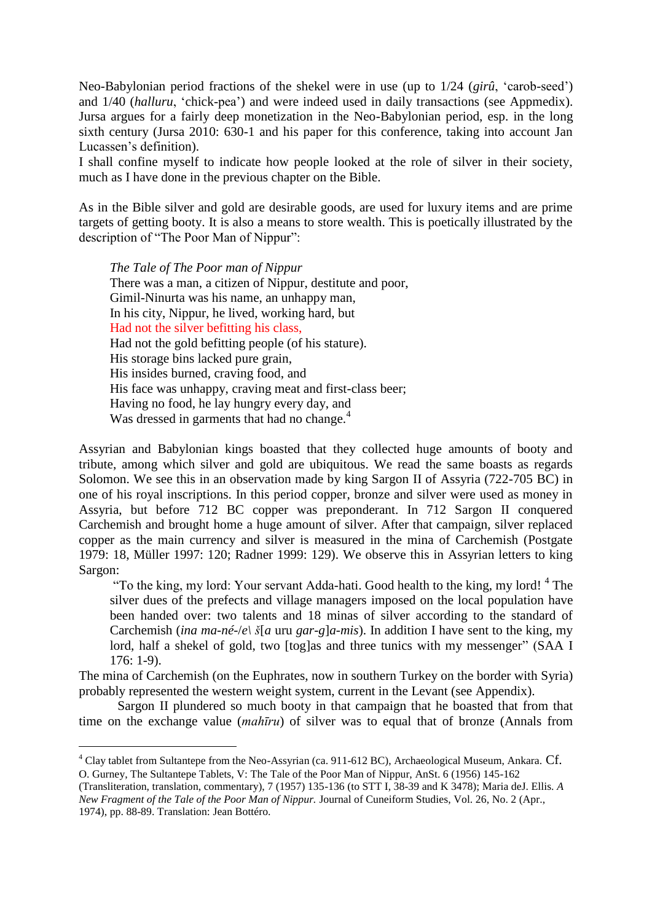Neo-Babylonian period fractions of the shekel were in use (up to 1/24 (*girû*, 'carob-seed') and 1/40 (*halluru*, 'chick-pea') and were indeed used in daily transactions (see Appmedix). Jursa argues for a fairly deep monetization in the Neo-Babylonian period, esp. in the long sixth century (Jursa 2010: 630-1 and his paper for this conference, taking into account Jan Lucassen's definition).

I shall confine myself to indicate how people looked at the role of silver in their society, much as I have done in the previous chapter on the Bible.

As in the Bible silver and gold are desirable goods, are used for luxury items and are prime targets of getting booty. It is also a means to store wealth. This is poetically illustrated by the description of "The Poor Man of Nippur":

*The Tale of The Poor man of Nippur* There was a man, a citizen of Nippur, destitute and poor, Gimil-Ninurta was his name, an unhappy man, In his city, Nippur, he lived, working hard, but Had not the silver befitting his class, Had not the gold befitting people (of his stature). His storage bins lacked pure grain, His insides burned, craving food, and His face was unhappy, craving meat and first-class beer; Having no food, he lay hungry every day, and Was dressed in garments that had no change.<sup>4</sup>

Assyrian and Babylonian kings boasted that they collected huge amounts of booty and tribute, among which silver and gold are ubiquitous. We read the same boasts as regards Solomon. We see this in an observation made by king Sargon II of Assyria (722-705 BC) in one of his royal inscriptions. In this period copper, bronze and silver were used as money in Assyria, but before 712 BC copper was preponderant. In 712 Sargon II conquered Carchemish and brought home a huge amount of silver. After that campaign, silver replaced copper as the main currency and silver is measured in the mina of Carchemish (Postgate 1979: 18, Müller 1997: 120; Radner 1999: 129). We observe this in Assyrian letters to king Sargon:

"To the king, my lord: Your servant Adda-hati. Good health to the king, my lord!<sup>4</sup> The silver dues of the prefects and village managers imposed on the local population have been handed over: two talents and 18 minas of silver according to the standard of Carchemish (*ina ma-né-*/*e\ š*[*a* uru *gar-g*]*a-mis*). In addition I have sent to the king, my lord, half a shekel of gold, two [tog]as and three tunics with my messenger" (SAA I 176: 1-9).

The mina of Carchemish (on the Euphrates, now in southern Turkey on the border with Syria) probably represented the western weight system, current in the Levant (see Appendix).

Sargon II plundered so much booty in that campaign that he boasted that from that time on the exchange value (*mahīru*) of silver was to equal that of bronze (Annals from

 $\overline{\phantom{a}}$ 

<sup>&</sup>lt;sup>4</sup> Clay tablet from Sultantepe from the Neo-Assyrian (ca. 911-612 BC), Archaeological Museum, Ankara. Cf. O. Gurney, The Sultantepe Tablets, V: The Tale of the Poor Man of Nippur, AnSt. 6 (1956) 145-162

<sup>(</sup>Transliteration, translation, commentary), 7 (1957) 135-136 (to STT I, 38-39 and K 3478); Maria deJ. Ellis. *A New Fragment of the Tale of the Poor Man of Nippur.* Journal of Cuneiform Studies, Vol. 26, No. 2 (Apr., 1974), pp. 88-89. Translation: Jean Bottéro.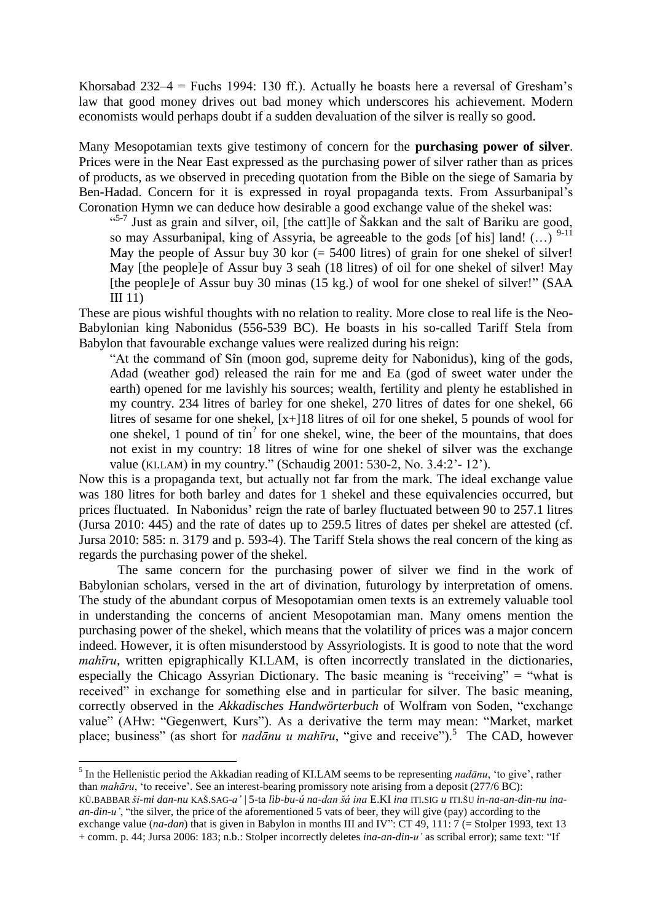Khorsabad 232–4 = Fuchs 1994: 130 ff.). Actually he boasts here a reversal of Gresham's law that good money drives out bad money which underscores his achievement. Modern economists would perhaps doubt if a sudden devaluation of the silver is really so good.

Many Mesopotamian texts give testimony of concern for the **purchasing power of silver**. Prices were in the Near East expressed as the purchasing power of silver rather than as prices of products, as we observed in preceding quotation from the Bible on the siege of Samaria by Ben-Hadad. Concern for it is expressed in royal propaganda texts. From Assurbanipal's Coronation Hymn we can deduce how desirable a good exchange value of the shekel was:

<sup>45-7</sup> Just as grain and silver, oil, [the catt]le of Šakkan and the salt of Bariku are good, so may Assurbanipal, king of Assyria, be agreeable to the gods [of his] land! (...)  $9-11$ May the people of Assur buy 30 kor  $(= 5400$  litres) of grain for one shekel of silver! May [the people]e of Assur buy 3 seah (18 litres) of oil for one shekel of silver! May [the people]e of Assur buy 30 minas (15 kg.) of wool for one shekel of silver!" (SAA III 11)

These are pious wishful thoughts with no relation to reality. More close to real life is the Neo-Babylonian king Nabonidus (556-539 BC). He boasts in his so-called Tariff Stela from Babylon that favourable exchange values were realized during his reign:

"At the command of Sîn (moon god, supreme deity for Nabonidus), king of the gods, Adad (weather god) released the rain for me and Ea (god of sweet water under the earth) opened for me lavishly his sources; wealth, fertility and plenty he established in my country. 234 litres of barley for one shekel, 270 litres of dates for one shekel, 66 litres of sesame for one shekel, [x+]18 litres of oil for one shekel, 5 pounds of wool for one shekel, 1 pound of tin<sup>?</sup> for one shekel, wine, the beer of the mountains, that does not exist in my country: 18 litres of wine for one shekel of silver was the exchange value (KI.LAM) in my country." (Schaudig 2001: 530-2, No. 3.4:2'- 12').

Now this is a propaganda text, but actually not far from the mark. The ideal exchange value was 180 litres for both barley and dates for 1 shekel and these equivalencies occurred, but prices fluctuated. In Nabonidus' reign the rate of barley fluctuated between 90 to 257.1 litres (Jursa 2010: 445) and the rate of dates up to 259.5 litres of dates per shekel are attested (cf. Jursa 2010: 585: n. 3179 and p. 593-4). The Tariff Stela shows the real concern of the king as regards the purchasing power of the shekel.

The same concern for the purchasing power of silver we find in the work of Babylonian scholars, versed in the art of divination, futurology by interpretation of omens. The study of the abundant corpus of Mesopotamian omen texts is an extremely valuable tool in understanding the concerns of ancient Mesopotamian man. Many omens mention the purchasing power of the shekel, which means that the volatility of prices was a major concern indeed. However, it is often misunderstood by Assyriologists. It is good to note that the word *mahīru*, written epigraphically KI.LAM, is often incorrectly translated in the dictionaries, especially the Chicago Assyrian Dictionary. The basic meaning is "receiving" = "what is received" in exchange for something else and in particular for silver. The basic meaning, correctly observed in the *Akkadisches Handwörterbuch* of Wolfram von Soden, "exchange value" (AHw: "Gegenwert, Kurs"). As a derivative the term may mean: "Market, market place; business" (as short for *nadānu u mahīru*, "give and receive").<sup>5</sup> The CAD, however

 5 In the Hellenistic period the Akkadian reading of KI.LAM seems to be representing *nadānu*, 'to give', rather than *mahāru*, 'to receive'. See an interest-bearing promissory note arising from a deposit (277/6 BC): KÙ.BABBAR *ši-mi dan-nu* KAŠ.SAG-*a'* | 5-ta *lìb-bu-ú na-dan šá ina* E.KI *ina* ITI.SIG *u* ITI.ŠU *in-na-an-din-nu inaan-din-u'*, "the silver, the price of the aforementioned 5 vats of beer, they will give (pay) according to the exchange value (*na-dan*) that is given in Babylon in months III and IV": CT 49, 111: 7 (= Stolper 1993, text 13 + comm. p. 44; Jursa 2006: 183; n.b.: Stolper incorrectly deletes *ina-an-din-u'* as scribal error); same text: "If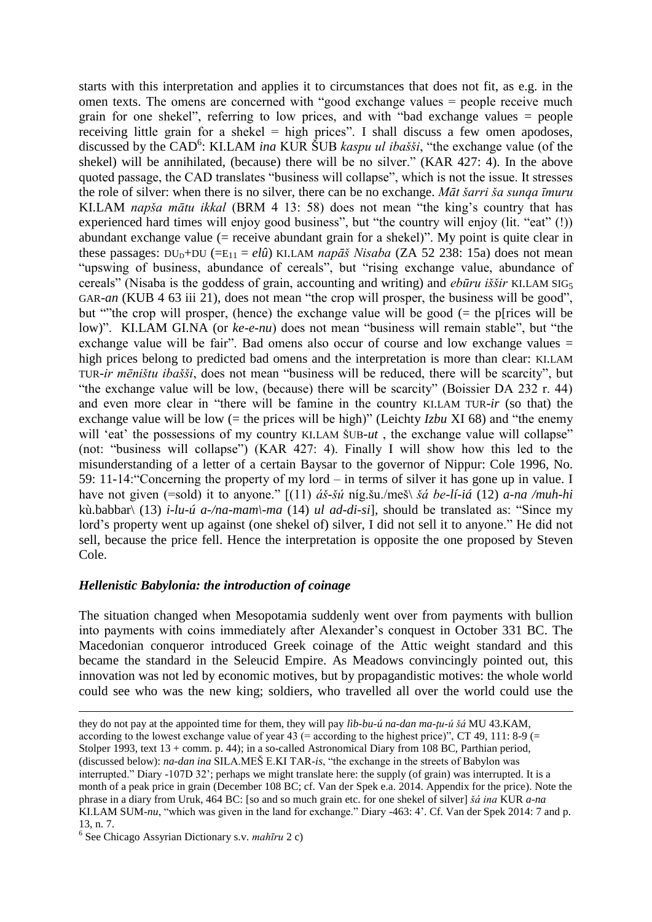starts with this interpretation and applies it to circumstances that does not fit, as e.g. in the omen texts. The omens are concerned with "good exchange values = people receive much grain for one shekel", referring to low prices, and with "bad exchange values = people receiving little grain for a shekel  $=$  high prices". I shall discuss a few omen apodoses, discussed by the CAD<sup>6</sup>: KI.LAM *ina* KUR ŠUB *kaspu ul ibašši*, "the exchange value (of the shekel) will be annihilated, (because) there will be no silver." (KAR 427: 4). In the above quoted passage, the CAD translates "business will collapse", which is not the issue. It stresses the role of silver: when there is no silver, there can be no exchange. *Māt šarri ša sunqa īmuru* KI.LAM *napša mātu ikkal* (BRM 4 13: 58) does not mean "the king's country that has experienced hard times will enjoy good business", but "the country will enjoy (lit. "eat" (!)) abundant exchange value (= receive abundant grain for a shekel)". My point is quite clear in these passages:  $DU_{D}+DU$  (=E<sub>11</sub> = *elû*) KI.LAM *napāš Nisaba* (ZA 52 238: 15a) does not mean "upswing of business, abundance of cereals", but "rising exchange value, abundance of cereals" (Nisaba is the goddess of grain, accounting and writing) and *ebūru iššir* KI.LAM SIG<sup>5</sup> GAR-*an* (KUB 4 63 iii 21), does not mean "the crop will prosper, the business will be good", but ""the crop will prosper, (hence) the exchange value will be good (= the p[rices will be low)". KI.LAM GI.NA (or *ke-e-nu*) does not mean "business will remain stable", but "the exchange value will be fair". Bad omens also occur of course and low exchange values = high prices belong to predicted bad omens and the interpretation is more than clear: KI.LAM TUR-*ir mēništu ibašši*, does not mean "business will be reduced, there will be scarcity", but "the exchange value will be low, (because) there will be scarcity" (Boissier DA 232 r. 44) and even more clear in "there will be famine in the country KI.LAM TUR-*ir* (so that) the exchange value will be low (= the prices will be high)" (Leichty *Izbu* XI 68) and "the enemy will 'eat' the possessions of my country KI.LAM ŠUB-ut, the exchange value will collapse" (not: "business will collapse") (KAR 427: 4). Finally I will show how this led to the misunderstanding of a letter of a certain Baysar to the governor of Nippur: Cole 1996, No. 59: 11-14:"Concerning the property of my lord – in terms of silver it has gone up in value. I have not given (=sold) it to anyone." [(11) *áš-šú* níg.šu./meš\ *šá be-lí-iá* (12) *a-na /muh-hi*  kù.babbar\ (13) *i-lu-ú a-/na-mam\-ma* (14) *ul ad-di-si*], should be translated as: "Since my lord's property went up against (one shekel of) silver, I did not sell it to anyone." He did not sell, because the price fell. Hence the interpretation is opposite the one proposed by Steven Cole.

### *Hellenistic Babylonia: the introduction of coinage*

The situation changed when Mesopotamia suddenly went over from payments with bullion into payments with coins immediately after Alexander's conquest in October 331 BC. The Macedonian conqueror introduced Greek coinage of the Attic weight standard and this became the standard in the Seleucid Empire. As Meadows convincingly pointed out, this innovation was not led by economic motives, but by propagandistic motives: the whole world could see who was the new king; soldiers, who travelled all over the world could use the

**.** 

they do not pay at the appointed time for them, they will pay *lìb-bu-ú na-dan ma-ţu-ú šá* MU 43.KAM, according to the lowest exchange value of year 43 (= according to the highest price)", CT 49, 111: 8-9 (= Stolper 1993, text 13 + comm. p. 44); in a so-called Astronomical Diary from 108 BC, Parthian period, (discussed below): *na-dan ina* SILA.MEŠ E.KI TAR-*is*, "the exchange in the streets of Babylon was interrupted." Diary -107D 32'; perhaps we might translate here: the supply (of grain) was interrupted. It is a month of a peak price in grain (December 108 BC; cf. Van der Spek e.a. 2014. Appendix for the price). Note the phrase in a diary from Uruk, 464 BC: [so and so much grain etc. for one shekel of silver] *šá ina* KUR *a-na*  KI.LAM SUM-*nu*, "which was given in the land for exchange." Diary -463: 4'. Cf. Van der Spek 2014: 7 and p. 13, n. 7.

<sup>6</sup> See Chicago Assyrian Dictionary s.v. *mahīru* 2 c)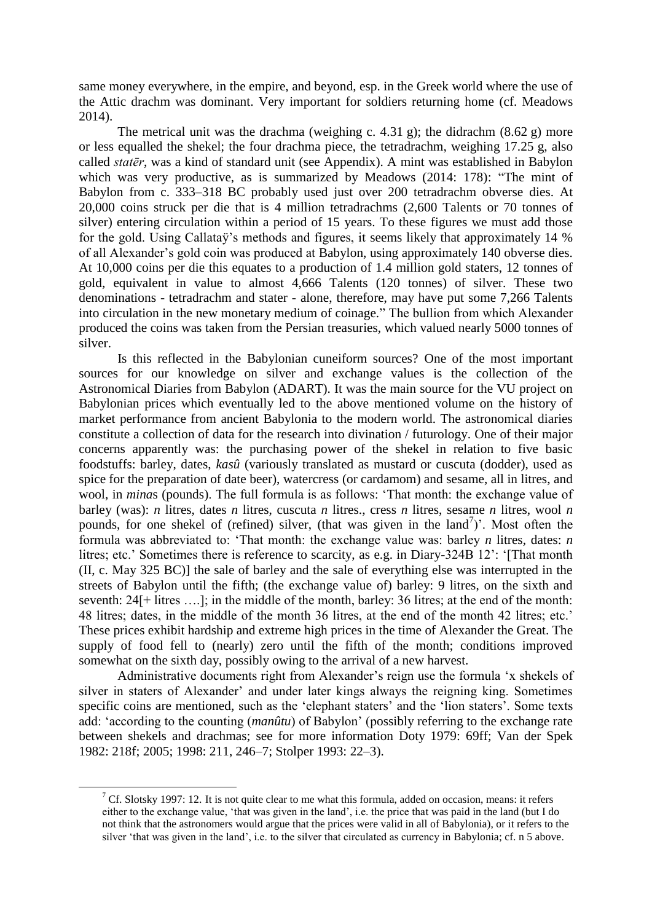same money everywhere, in the empire, and beyond, esp. in the Greek world where the use of the Attic drachm was dominant. Very important for soldiers returning home (cf. Meadows 2014).

The metrical unit was the drachma (weighing c. 4.31 g); the didrachm  $(8.62 \text{ g})$  more or less equalled the shekel; the four drachma piece, the tetradrachm, weighing 17.25 g, also called *statēr*, was a kind of standard unit (see Appendix). A mint was established in Babylon which was very productive, as is summarized by Meadows (2014: 178): "The mint of Babylon from c. 333–318 BC probably used just over 200 tetradrachm obverse dies. At 20,000 coins struck per die that is 4 million tetradrachms (2,600 Talents or 70 tonnes of silver) entering circulation within a period of 15 years. To these figures we must add those for the gold. Using Callataÿ's methods and figures, it seems likely that approximately 14 % of all Alexander's gold coin was produced at Babylon, using approximately 140 obverse dies. At 10,000 coins per die this equates to a production of 1.4 million gold staters, 12 tonnes of gold, equivalent in value to almost 4,666 Talents (120 tonnes) of silver. These two denominations - tetradrachm and stater - alone, therefore, may have put some 7,266 Talents into circulation in the new monetary medium of coinage." The bullion from which Alexander produced the coins was taken from the Persian treasuries, which valued nearly 5000 tonnes of silver.

Is this reflected in the Babylonian cuneiform sources? One of the most important sources for our knowledge on silver and exchange values is the collection of the Astronomical Diaries from Babylon (ADART). It was the main source for the VU project on Babylonian prices which eventually led to the above mentioned volume on the history of market performance from ancient Babylonia to the modern world. The astronomical diaries constitute a collection of data for the research into divination / futurology. One of their major concerns apparently was: the purchasing power of the shekel in relation to five basic foodstuffs: barley, dates, *kasû* (variously translated as mustard or cuscuta (dodder), used as spice for the preparation of date beer), watercress (or cardamom) and sesame, all in litres, and wool, in *mina*s (pounds). The full formula is as follows: 'That month: the exchange value of barley (was): *n* litres, dates *n* litres, cuscuta *n* litres., cress *n* litres, sesame *n* litres, wool *n*  pounds, for one shekel of (refined) silver, (that was given in the land<sup>7</sup>)'. Most often the formula was abbreviated to: 'That month: the exchange value was: barley *n* litres, dates: *n* litres; etc.' Sometimes there is reference to scarcity, as e.g. in Diary-324B 12': '[That month (II, c. May 325 BC)] the sale of barley and the sale of everything else was interrupted in the streets of Babylon until the fifth; (the exchange value of) barley: 9 litres, on the sixth and seventh: 24[+ litres ….]; in the middle of the month, barley: 36 litres; at the end of the month: 48 litres; dates, in the middle of the month 36 litres, at the end of the month 42 litres; etc.' These prices exhibit hardship and extreme high prices in the time of Alexander the Great. The supply of food fell to (nearly) zero until the fifth of the month; conditions improved somewhat on the sixth day, possibly owing to the arrival of a new harvest.

Administrative documents right from Alexander's reign use the formula 'x shekels of silver in staters of Alexander' and under later kings always the reigning king. Sometimes specific coins are mentioned, such as the 'elephant staters' and the 'lion staters'. Some texts add: 'according to the counting (*manûtu*) of Babylon' (possibly referring to the exchange rate between shekels and drachmas; see for more information Doty 1979: 69ff; Van der Spek 1982: 218f; 2005; 1998: 211, 246–7; Stolper 1993: 22–3).

**.** 

<sup>&</sup>lt;sup>7</sup> Cf. Slotsky 1997: 12. It is not quite clear to me what this formula, added on occasion, means: it refers either to the exchange value, 'that was given in the land', i.e. the price that was paid in the land (but I do not think that the astronomers would argue that the prices were valid in all of Babylonia), or it refers to the silver 'that was given in the land', i.e. to the silver that circulated as currency in Babylonia; cf. n 5 above.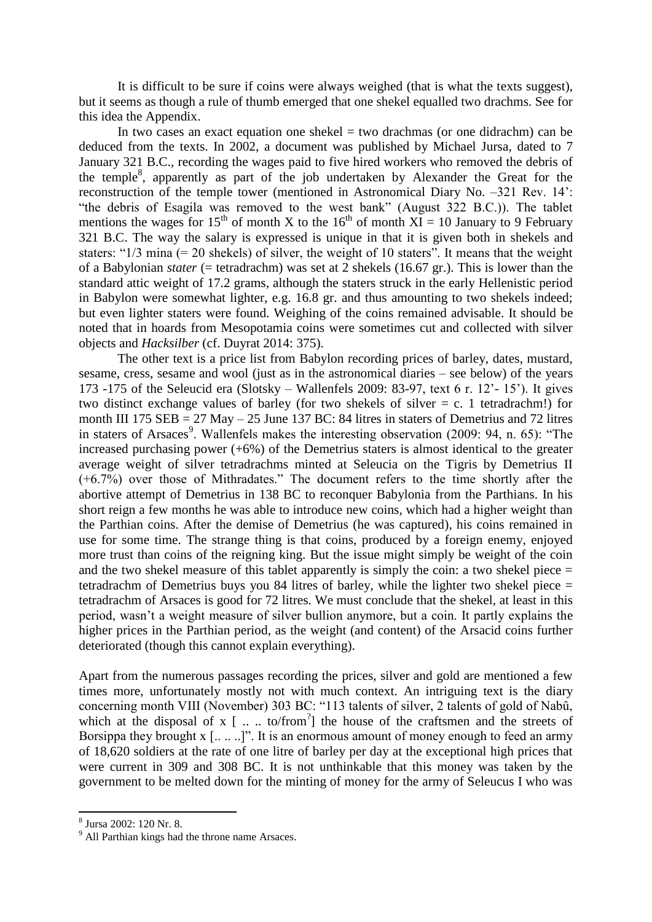It is difficult to be sure if coins were always weighed (that is what the texts suggest), but it seems as though a rule of thumb emerged that one shekel equalled two drachms. See for this idea the Appendix.

In two cases an exact equation one shekel  $=$  two drachmas (or one didrachm) can be deduced from the texts. In 2002, a document was published by Michael Jursa, dated to 7 January 321 B.C., recording the wages paid to five hired workers who removed the debris of the temple<sup>8</sup>, apparently as part of the job undertaken by Alexander the Great for the reconstruction of the temple tower (mentioned in Astronomical Diary No. –321 Rev. 14': "the debris of Esagila was removed to the west bank" (August 322 B.C.)). The tablet mentions the wages for 15<sup>th</sup> of month X to the 16<sup>th</sup> of month XI = 10 January to 9 February 321 B.C. The way the salary is expressed is unique in that it is given both in shekels and staters: "1/3 mina (= 20 shekels) of silver, the weight of 10 staters". It means that the weight of a Babylonian *stater* (= tetradrachm) was set at 2 shekels (16.67 gr.). This is lower than the standard attic weight of 17.2 grams, although the staters struck in the early Hellenistic period in Babylon were somewhat lighter, e.g. 16.8 gr. and thus amounting to two shekels indeed; but even lighter staters were found. Weighing of the coins remained advisable. It should be noted that in hoards from Mesopotamia coins were sometimes cut and collected with silver objects and *Hacksilber* (cf. Duyrat 2014: 375).

The other text is a price list from Babylon recording prices of barley, dates, mustard, sesame, cress, sesame and wool (just as in the astronomical diaries – see below) of the years 173 -175 of the Seleucid era (Slotsky – Wallenfels 2009: 83-97, text 6 r. 12'- 15'). It gives two distinct exchange values of barley (for two shekels of silver  $= c$ . 1 tetradrachm!) for month III 175  $SEB = 27$  May – 25 June 137 BC: 84 litres in staters of Demetrius and 72 litres in staters of Arsaces<sup>9</sup>. Wallenfels makes the interesting observation (2009: 94, n. 65): "The increased purchasing power  $(+6%)$  of the Demetrius staters is almost identical to the greater average weight of silver tetradrachms minted at Seleucia on the Tigris by Demetrius II (+6.7%) over those of Mithradates." The document refers to the time shortly after the abortive attempt of Demetrius in 138 BC to reconquer Babylonia from the Parthians. In his short reign a few months he was able to introduce new coins, which had a higher weight than the Parthian coins. After the demise of Demetrius (he was captured), his coins remained in use for some time. The strange thing is that coins, produced by a foreign enemy, enjoyed more trust than coins of the reigning king. But the issue might simply be weight of the coin and the two shekel measure of this tablet apparently is simply the coin: a two shekel piece = tetradrachm of Demetrius buys you 84 litres of barley, while the lighter two shekel piece = tetradrachm of Arsaces is good for 72 litres. We must conclude that the shekel, at least in this period, wasn't a weight measure of silver bullion anymore, but a coin. It partly explains the higher prices in the Parthian period, as the weight (and content) of the Arsacid coins further deteriorated (though this cannot explain everything).

Apart from the numerous passages recording the prices, silver and gold are mentioned a few times more, unfortunately mostly not with much context. An intriguing text is the diary concerning month VIII (November) 303 BC: "113 talents of silver, 2 talents of gold of Nabû, which at the disposal of  $x$  [  $\ldots$  to/from<sup>?</sup>] the house of the craftsmen and the streets of Borsippa they brought x [.....]". It is an enormous amount of money enough to feed an army of 18,620 soldiers at the rate of one litre of barley per day at the exceptional high prices that were current in 309 and 308 BC. It is not unthinkable that this money was taken by the government to be melted down for the minting of money for the army of Seleucus I who was

 8 Jursa 2002: 120 Nr. 8.

<sup>9</sup> All Parthian kings had the throne name Arsaces.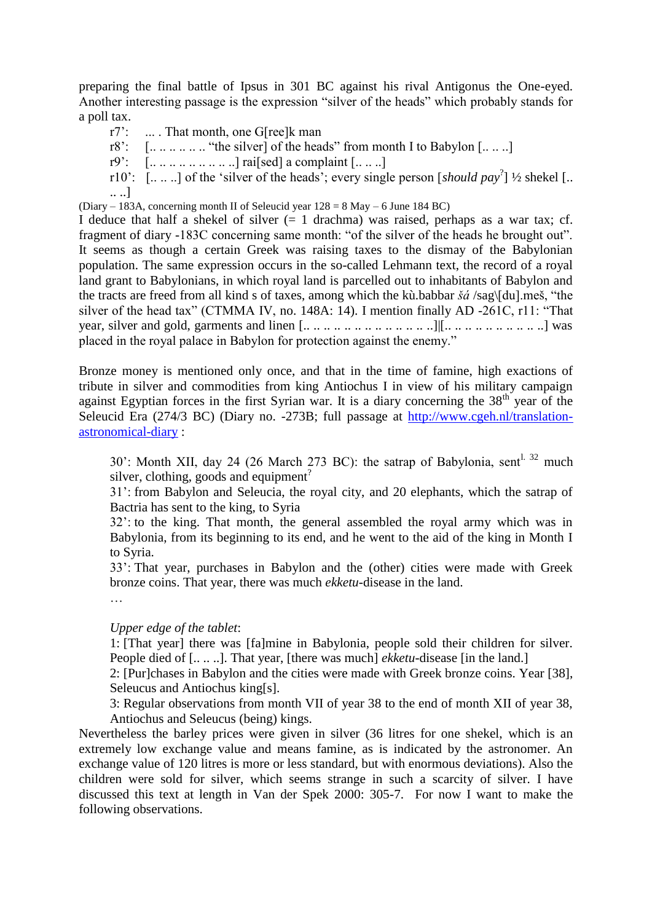preparing the final battle of Ipsus in 301 BC against his rival Antigonus the One-eyed. Another interesting passage is the expression "silver of the heads" which probably stands for a poll tax.

- r7': ... . That month, one G[ree]k man
- r8':  $[\dots \dots \dots \dots$  "the silver] of the heads" from month I to Babylon  $[\dots \dots]$
- $r9'$ :  $\left[\dots \dots \dots \dots \dots \right]$  raised a complaint  $\left[\dots \dots \right]$
- r10':  $\left[ \ldots \ldots \right]$  of the 'silver of the heads'; every single person  $\left[$ *should pay*<sup>2</sup> $\right]$  ½ shekel  $\left[ \ldots \right]$ .. ..]

(Diary – 183A, concerning month II of Seleucid year  $128 = 8$  May – 6 June 184 BC)

I deduce that half a shekel of silver  $(= 1 \text{ dradma})$  was raised, perhaps as a war tax; cf. fragment of diary -183C concerning same month: "of the silver of the heads he brought out". It seems as though a certain Greek was raising taxes to the dismay of the Babylonian population. The same expression occurs in the so-called Lehmann text, the record of a royal land grant to Babylonians, in which royal land is parcelled out to inhabitants of Babylon and the tracts are freed from all kind s of taxes, among which the kù.babbar *šá* /sag\[du].meš, "the silver of the head tax" (CTMMA IV, no. 148A: 14). I mention finally AD -261C, r11: "That year, silver and gold, garments and linen  $[\dots \dots \dots \dots \dots \dots \dots \dots \dots]$   $\ldots \dots \dots \dots \dots \dots]$  was placed in the royal palace in Babylon for protection against the enemy."

Bronze money is mentioned only once, and that in the time of famine, high exactions of tribute in silver and commodities from king Antiochus I in view of his military campaign against Egyptian forces in the first Syrian war. It is a diary concerning the  $38<sup>th</sup>$  year of the Seleucid Era (274/3 BC) (Diary no. -273B; full passage at [http://www.cgeh.nl/translation](http://www.cgeh.nl/translation-astronomical-diary)[astronomical-diary](http://www.cgeh.nl/translation-astronomical-diary) :

30': Month XII, day 24 (26 March 273 BC): the satrap of Babylonia, sent<sup>1. 32</sup> much silver, clothing, goods and equipment<sup>?</sup>

31': from Babylon and Seleucia, the royal city, and 20 elephants, which the satrap of Bactria has sent to the king, to Syria

32': to the king. That month, the general assembled the royal army which was in Babylonia, from its beginning to its end, and he went to the aid of the king in Month I to Syria.

33': That year, purchases in Babylon and the (other) cities were made with Greek bronze coins. That year, there was much *ekketu*-disease in the land.

…

### *Upper edge of the tablet*:

1: [That year] there was [fa]mine in Babylonia, people sold their children for silver. People died of [.....]. That year, [there was much] *ekketu*-disease [in the land.]

2: [Pur]chases in Babylon and the cities were made with Greek bronze coins. Year [38], Seleucus and Antiochus king[s].

3: Regular observations from month VII of year 38 to the end of month XII of year 38, Antiochus and Seleucus (being) kings.

Nevertheless the barley prices were given in silver (36 litres for one shekel, which is an extremely low exchange value and means famine, as is indicated by the astronomer. An exchange value of 120 litres is more or less standard, but with enormous deviations). Also the children were sold for silver, which seems strange in such a scarcity of silver. I have discussed this text at length in Van der Spek 2000: 305-7. For now I want to make the following observations.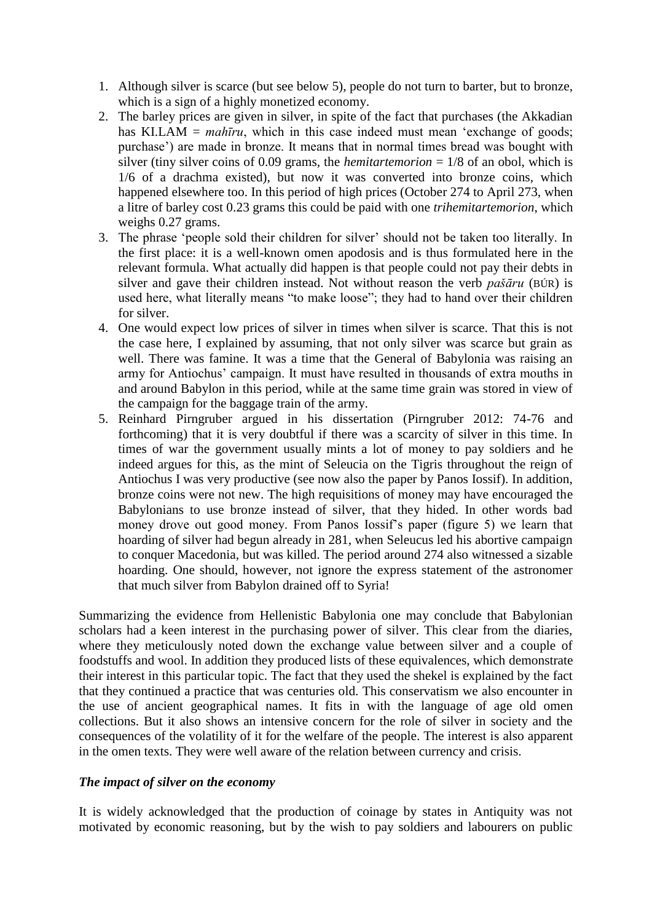- 1. Although silver is scarce (but see below 5), people do not turn to barter, but to bronze, which is a sign of a highly monetized economy.
- 2. The barley prices are given in silver, in spite of the fact that purchases (the Akkadian has KI.LAM = *mahīru*, which in this case indeed must mean 'exchange of goods; purchase') are made in bronze. It means that in normal times bread was bought with silver (tiny silver coins of 0.09 grams, the *hemitartemorion*  $= 1/8$  of an obol, which is 1/6 of a drachma existed), but now it was converted into bronze coins, which happened elsewhere too. In this period of high prices (October 274 to April 273, when a litre of barley cost 0.23 grams this could be paid with one *trihemitartemorion*, which weighs 0.27 grams.
- 3. The phrase 'people sold their children for silver' should not be taken too literally. In the first place: it is a well-known omen apodosis and is thus formulated here in the relevant formula. What actually did happen is that people could not pay their debts in silver and gave their children instead. Not without reason the verb *pašāru* (BÚR) is used here, what literally means "to make loose"; they had to hand over their children for silver.
- 4. One would expect low prices of silver in times when silver is scarce. That this is not the case here, I explained by assuming, that not only silver was scarce but grain as well. There was famine. It was a time that the General of Babylonia was raising an army for Antiochus' campaign. It must have resulted in thousands of extra mouths in and around Babylon in this period, while at the same time grain was stored in view of the campaign for the baggage train of the army.
- 5. Reinhard Pirngruber argued in his dissertation (Pirngruber 2012: 74-76 and forthcoming) that it is very doubtful if there was a scarcity of silver in this time. In times of war the government usually mints a lot of money to pay soldiers and he indeed argues for this, as the mint of Seleucia on the Tigris throughout the reign of Antiochus I was very productive (see now also the paper by Panos Iossif). In addition, bronze coins were not new. The high requisitions of money may have encouraged the Babylonians to use bronze instead of silver, that they hided. In other words bad money drove out good money. From Panos Iossif's paper (figure 5) we learn that hoarding of silver had begun already in 281, when Seleucus led his abortive campaign to conquer Macedonia, but was killed. The period around 274 also witnessed a sizable hoarding. One should, however, not ignore the express statement of the astronomer that much silver from Babylon drained off to Syria!

Summarizing the evidence from Hellenistic Babylonia one may conclude that Babylonian scholars had a keen interest in the purchasing power of silver. This clear from the diaries, where they meticulously noted down the exchange value between silver and a couple of foodstuffs and wool. In addition they produced lists of these equivalences, which demonstrate their interest in this particular topic. The fact that they used the shekel is explained by the fact that they continued a practice that was centuries old. This conservatism we also encounter in the use of ancient geographical names. It fits in with the language of age old omen collections. But it also shows an intensive concern for the role of silver in society and the consequences of the volatility of it for the welfare of the people. The interest is also apparent in the omen texts. They were well aware of the relation between currency and crisis.

### *The impact of silver on the economy*

It is widely acknowledged that the production of coinage by states in Antiquity was not motivated by economic reasoning, but by the wish to pay soldiers and labourers on public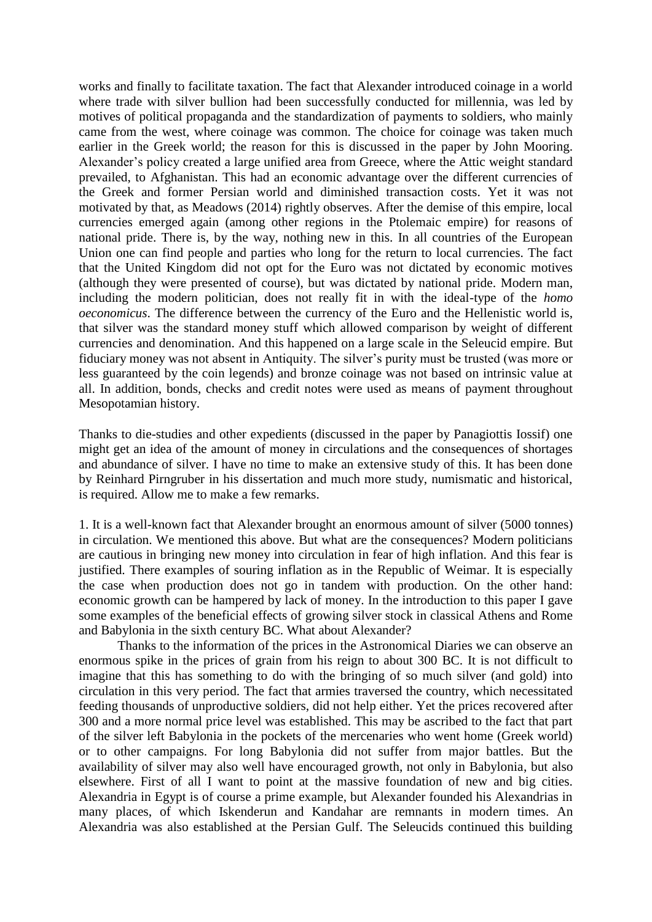works and finally to facilitate taxation. The fact that Alexander introduced coinage in a world where trade with silver bullion had been successfully conducted for millennia, was led by motives of political propaganda and the standardization of payments to soldiers, who mainly came from the west, where coinage was common. The choice for coinage was taken much earlier in the Greek world; the reason for this is discussed in the paper by John Mooring. Alexander's policy created a large unified area from Greece, where the Attic weight standard prevailed, to Afghanistan. This had an economic advantage over the different currencies of the Greek and former Persian world and diminished transaction costs. Yet it was not motivated by that, as Meadows (2014) rightly observes. After the demise of this empire, local currencies emerged again (among other regions in the Ptolemaic empire) for reasons of national pride. There is, by the way, nothing new in this. In all countries of the European Union one can find people and parties who long for the return to local currencies. The fact that the United Kingdom did not opt for the Euro was not dictated by economic motives (although they were presented of course), but was dictated by national pride. Modern man, including the modern politician, does not really fit in with the ideal-type of the *homo oeconomicus*. The difference between the currency of the Euro and the Hellenistic world is, that silver was the standard money stuff which allowed comparison by weight of different currencies and denomination. And this happened on a large scale in the Seleucid empire. But fiduciary money was not absent in Antiquity. The silver's purity must be trusted (was more or less guaranteed by the coin legends) and bronze coinage was not based on intrinsic value at all. In addition, bonds, checks and credit notes were used as means of payment throughout Mesopotamian history.

Thanks to die-studies and other expedients (discussed in the paper by Panagiottis Iossif) one might get an idea of the amount of money in circulations and the consequences of shortages and abundance of silver. I have no time to make an extensive study of this. It has been done by Reinhard Pirngruber in his dissertation and much more study, numismatic and historical, is required. Allow me to make a few remarks.

1. It is a well-known fact that Alexander brought an enormous amount of silver (5000 tonnes) in circulation. We mentioned this above. But what are the consequences? Modern politicians are cautious in bringing new money into circulation in fear of high inflation. And this fear is justified. There examples of souring inflation as in the Republic of Weimar. It is especially the case when production does not go in tandem with production. On the other hand: economic growth can be hampered by lack of money. In the introduction to this paper I gave some examples of the beneficial effects of growing silver stock in classical Athens and Rome and Babylonia in the sixth century BC. What about Alexander?

Thanks to the information of the prices in the Astronomical Diaries we can observe an enormous spike in the prices of grain from his reign to about 300 BC. It is not difficult to imagine that this has something to do with the bringing of so much silver (and gold) into circulation in this very period. The fact that armies traversed the country, which necessitated feeding thousands of unproductive soldiers, did not help either. Yet the prices recovered after 300 and a more normal price level was established. This may be ascribed to the fact that part of the silver left Babylonia in the pockets of the mercenaries who went home (Greek world) or to other campaigns. For long Babylonia did not suffer from major battles. But the availability of silver may also well have encouraged growth, not only in Babylonia, but also elsewhere. First of all I want to point at the massive foundation of new and big cities. Alexandria in Egypt is of course a prime example, but Alexander founded his Alexandrias in many places, of which Iskenderun and Kandahar are remnants in modern times. An Alexandria was also established at the Persian Gulf. The Seleucids continued this building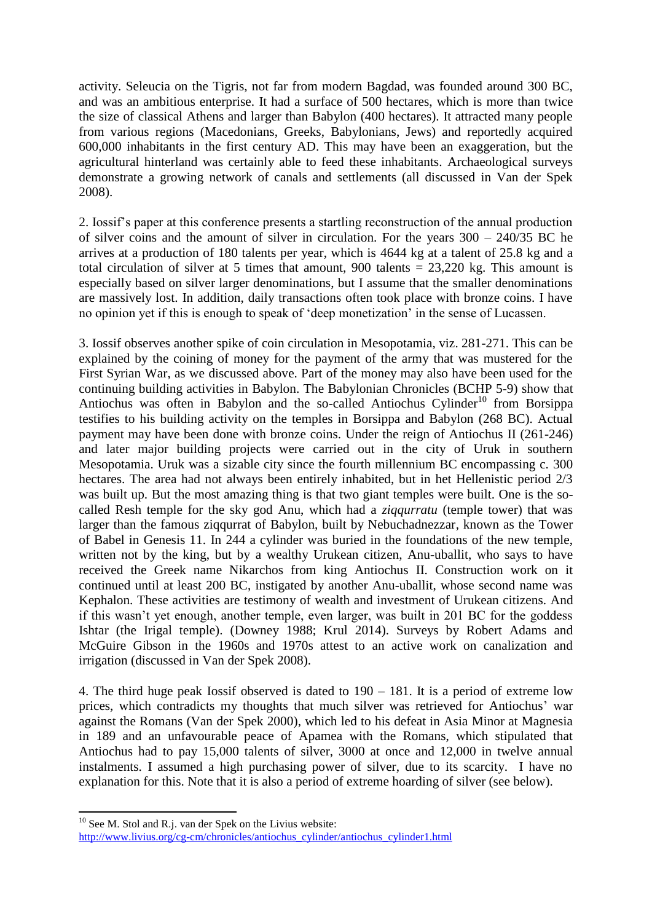activity. Seleucia on the Tigris, not far from modern Bagdad, was founded around 300 BC, and was an ambitious enterprise. It had a surface of 500 hectares, which is more than twice the size of classical Athens and larger than Babylon (400 hectares). It attracted many people from various regions (Macedonians, Greeks, Babylonians, Jews) and reportedly acquired 600,000 inhabitants in the first century AD. This may have been an exaggeration, but the agricultural hinterland was certainly able to feed these inhabitants. Archaeological surveys demonstrate a growing network of canals and settlements (all discussed in Van der Spek 2008).

2. Iossif's paper at this conference presents a startling reconstruction of the annual production of silver coins and the amount of silver in circulation. For the years 300 – 240/35 BC he arrives at a production of 180 talents per year, which is 4644 kg at a talent of 25.8 kg and a total circulation of silver at 5 times that amount, 900 talents  $= 23,220$  kg. This amount is especially based on silver larger denominations, but I assume that the smaller denominations are massively lost. In addition, daily transactions often took place with bronze coins. I have no opinion yet if this is enough to speak of 'deep monetization' in the sense of Lucassen.

3. Iossif observes another spike of coin circulation in Mesopotamia, viz. 281-271. This can be explained by the coining of money for the payment of the army that was mustered for the First Syrian War, as we discussed above. Part of the money may also have been used for the continuing building activities in Babylon. The Babylonian Chronicles (BCHP 5-9) show that Antiochus was often in Babylon and the so-called Antiochus Cylinder<sup>10</sup> from Borsippa testifies to his building activity on the temples in Borsippa and Babylon (268 BC). Actual payment may have been done with bronze coins. Under the reign of Antiochus II (261-246) and later major building projects were carried out in the city of Uruk in southern Mesopotamia. Uruk was a sizable city since the fourth millennium BC encompassing c. 300 hectares. The area had not always been entirely inhabited, but in het Hellenistic period 2/3 was built up. But the most amazing thing is that two giant temples were built. One is the socalled Resh temple for the sky god Anu, which had a *ziqqurratu* (temple tower) that was larger than the famous ziqqurrat of Babylon, built by Nebuchadnezzar, known as the Tower of Babel in Genesis 11. In 244 a cylinder was buried in the foundations of the new temple, written not by the king, but by a wealthy Urukean citizen, Anu-uballit, who says to have received the Greek name Nikarchos from king Antiochus II. Construction work on it continued until at least 200 BC, instigated by another Anu-uballit, whose second name was Kephalon. These activities are testimony of wealth and investment of Urukean citizens. And if this wasn't yet enough, another temple, even larger, was built in 201 BC for the goddess Ishtar (the Irigal temple). (Downey 1988; Krul 2014). Surveys by Robert Adams and McGuire Gibson in the 1960s and 1970s attest to an active work on canalization and irrigation (discussed in Van der Spek 2008).

4. The third huge peak Iossif observed is dated to 190 – 181. It is a period of extreme low prices, which contradicts my thoughts that much silver was retrieved for Antiochus' war against the Romans (Van der Spek 2000), which led to his defeat in Asia Minor at Magnesia in 189 and an unfavourable peace of Apamea with the Romans, which stipulated that Antiochus had to pay 15,000 talents of silver, 3000 at once and 12,000 in twelve annual instalments. I assumed a high purchasing power of silver, due to its scarcity. I have no explanation for this. Note that it is also a period of extreme hoarding of silver (see below).

**<sup>.</sup>**  $10$  See M. Stol and R.j. van der Spek on the Livius website:

[http://www.livius.org/cg-cm/chronicles/antiochus\\_cylinder/antiochus\\_cylinder1.html](http://www.livius.org/cg-cm/chronicles/antiochus_cylinder/antiochus_cylinder1.html)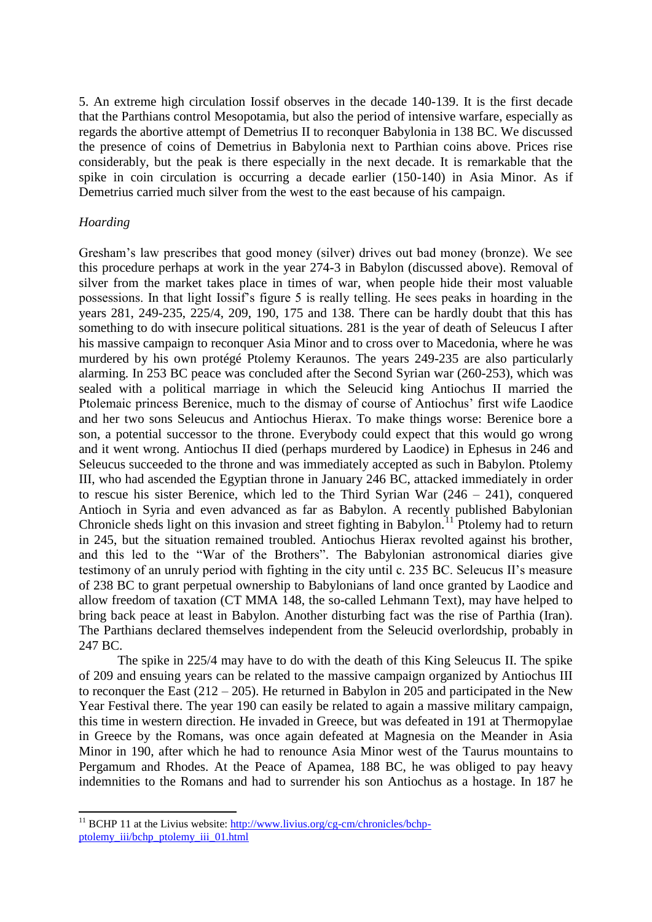5. An extreme high circulation Iossif observes in the decade 140-139. It is the first decade that the Parthians control Mesopotamia, but also the period of intensive warfare, especially as regards the abortive attempt of Demetrius II to reconquer Babylonia in 138 BC. We discussed the presence of coins of Demetrius in Babylonia next to Parthian coins above. Prices rise considerably, but the peak is there especially in the next decade. It is remarkable that the spike in coin circulation is occurring a decade earlier (150-140) in Asia Minor. As if Demetrius carried much silver from the west to the east because of his campaign.

#### *Hoarding*

**.** 

Gresham's law prescribes that good money (silver) drives out bad money (bronze). We see this procedure perhaps at work in the year 274-3 in Babylon (discussed above). Removal of silver from the market takes place in times of war, when people hide their most valuable possessions. In that light Iossif's figure 5 is really telling. He sees peaks in hoarding in the years 281, 249-235, 225/4, 209, 190, 175 and 138. There can be hardly doubt that this has something to do with insecure political situations. 281 is the year of death of Seleucus I after his massive campaign to reconquer Asia Minor and to cross over to Macedonia, where he was murdered by his own protégé Ptolemy Keraunos. The years 249-235 are also particularly alarming. In 253 BC peace was concluded after the Second Syrian war (260-253), which was sealed with a political marriage in which the Seleucid king Antiochus II married the Ptolemaic princess Berenice, much to the dismay of course of Antiochus' first wife Laodice and her two sons Seleucus and Antiochus Hierax. To make things worse: Berenice bore a son, a potential successor to the throne. Everybody could expect that this would go wrong and it went wrong. Antiochus II died (perhaps murdered by Laodice) in Ephesus in 246 and Seleucus succeeded to the throne and was immediately accepted as such in Babylon. Ptolemy III, who had ascended the Egyptian throne in January 246 BC, attacked immediately in order to rescue his sister Berenice, which led to the Third Syrian War (246 – 241), conquered Antioch in Syria and even advanced as far as Babylon. A recently published Babylonian Chronicle sheds light on this invasion and street fighting in Babylon.<sup>11</sup> Ptolemy had to return in 245, but the situation remained troubled. Antiochus Hierax revolted against his brother, and this led to the "War of the Brothers". The Babylonian astronomical diaries give testimony of an unruly period with fighting in the city until c. 235 BC. Seleucus II's measure of 238 BC to grant perpetual ownership to Babylonians of land once granted by Laodice and allow freedom of taxation (CT MMA 148, the so-called Lehmann Text), may have helped to bring back peace at least in Babylon. Another disturbing fact was the rise of Parthia (Iran). The Parthians declared themselves independent from the Seleucid overlordship, probably in 247 BC.

The spike in 225/4 may have to do with the death of this King Seleucus II. The spike of 209 and ensuing years can be related to the massive campaign organized by Antiochus III to reconquer the East  $(212 – 205)$ . He returned in Babylon in 205 and participated in the New Year Festival there. The year 190 can easily be related to again a massive military campaign, this time in western direction. He invaded in Greece, but was defeated in 191 at Thermopylae in Greece by the Romans, was once again defeated at Magnesia on the Meander in Asia Minor in 190, after which he had to renounce Asia Minor west of the Taurus mountains to Pergamum and Rhodes. At the Peace of Apamea, 188 BC, he was obliged to pay heavy indemnities to the Romans and had to surrender his son Antiochus as a hostage. In 187 he

<sup>&</sup>lt;sup>11</sup> BCHP 11 at the Livius website: [http://www.livius.org/cg-cm/chronicles/bchp](http://www.livius.org/cg-cm/chronicles/bchp-ptolemy_iii/bchp_ptolemy_iii_01.html)[ptolemy\\_iii/bchp\\_ptolemy\\_iii\\_01.html](http://www.livius.org/cg-cm/chronicles/bchp-ptolemy_iii/bchp_ptolemy_iii_01.html)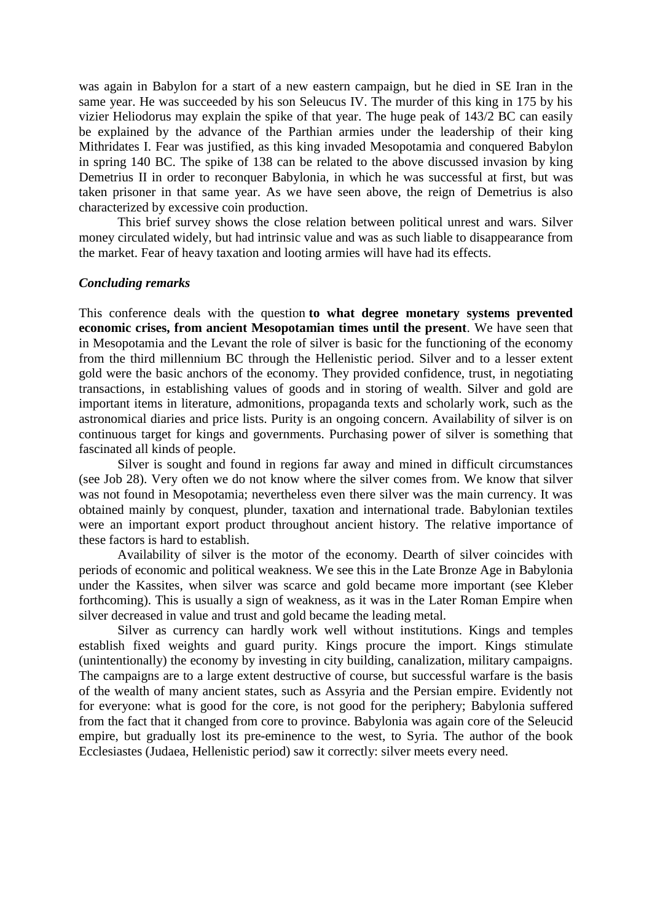was again in Babylon for a start of a new eastern campaign, but he died in SE Iran in the same year. He was succeeded by his son Seleucus IV. The murder of this king in 175 by his vizier Heliodorus may explain the spike of that year. The huge peak of 143/2 BC can easily be explained by the advance of the Parthian armies under the leadership of their king Mithridates I. Fear was justified, as this king invaded Mesopotamia and conquered Babylon in spring 140 BC. The spike of 138 can be related to the above discussed invasion by king Demetrius II in order to reconquer Babylonia, in which he was successful at first, but was taken prisoner in that same year. As we have seen above, the reign of Demetrius is also characterized by excessive coin production.

This brief survey shows the close relation between political unrest and wars. Silver money circulated widely, but had intrinsic value and was as such liable to disappearance from the market. Fear of heavy taxation and looting armies will have had its effects.

#### *Concluding remarks*

This conference deals with the question **to what degree monetary systems prevented economic crises, from ancient Mesopotamian times until the present**. We have seen that in Mesopotamia and the Levant the role of silver is basic for the functioning of the economy from the third millennium BC through the Hellenistic period. Silver and to a lesser extent gold were the basic anchors of the economy. They provided confidence, trust, in negotiating transactions, in establishing values of goods and in storing of wealth. Silver and gold are important items in literature, admonitions, propaganda texts and scholarly work, such as the astronomical diaries and price lists. Purity is an ongoing concern. Availability of silver is on continuous target for kings and governments. Purchasing power of silver is something that fascinated all kinds of people.

Silver is sought and found in regions far away and mined in difficult circumstances (see Job 28). Very often we do not know where the silver comes from. We know that silver was not found in Mesopotamia; nevertheless even there silver was the main currency. It was obtained mainly by conquest, plunder, taxation and international trade. Babylonian textiles were an important export product throughout ancient history. The relative importance of these factors is hard to establish.

Availability of silver is the motor of the economy. Dearth of silver coincides with periods of economic and political weakness. We see this in the Late Bronze Age in Babylonia under the Kassites, when silver was scarce and gold became more important (see Kleber forthcoming). This is usually a sign of weakness, as it was in the Later Roman Empire when silver decreased in value and trust and gold became the leading metal.

Silver as currency can hardly work well without institutions. Kings and temples establish fixed weights and guard purity. Kings procure the import. Kings stimulate (unintentionally) the economy by investing in city building, canalization, military campaigns. The campaigns are to a large extent destructive of course, but successful warfare is the basis of the wealth of many ancient states, such as Assyria and the Persian empire. Evidently not for everyone: what is good for the core, is not good for the periphery; Babylonia suffered from the fact that it changed from core to province. Babylonia was again core of the Seleucid empire, but gradually lost its pre-eminence to the west, to Syria. The author of the book Ecclesiastes (Judaea, Hellenistic period) saw it correctly: silver meets every need.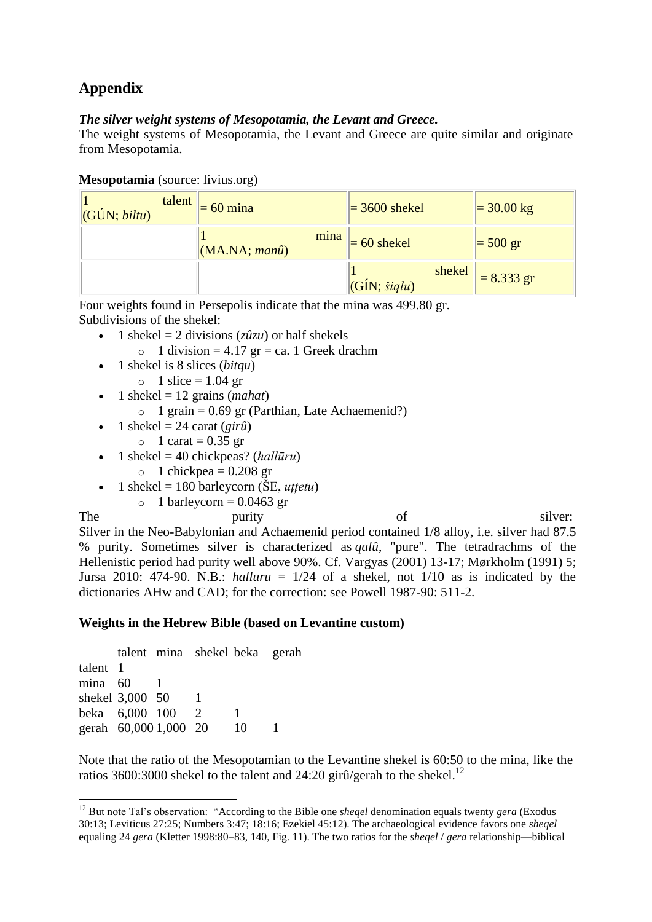# **Appendix**

# *The silver weight systems of Mesopotamia, the Levant and Greece.*

The weight systems of Mesopotamia, the Levant and Greece are quite similar and originate from Mesopotamia.

| Mesopotamia (source: livius.org) |  |  |
|----------------------------------|--|--|
|----------------------------------|--|--|

| talent<br>$ GUN; \text{biltu} $ | $= 60$ mina                   | $=$ 3600 shekel                   | $= 30.00 \text{ kg}$ |
|---------------------------------|-------------------------------|-----------------------------------|----------------------|
|                                 | mina<br>$(MA.NA; man\hat{u})$ | $= 60$ shekel                     | $=$ 500 gr           |
|                                 |                               | shekel<br>$ GIN; \xi iqlu\rangle$ | $= 8.333$ gr         |

Four weights found in Persepolis indicate that the mina was 499.80 gr. Subdivisions of the shekel:

- 1 shekel = 2 divisions  $(z\hat{u}zu)$  or half shekels
	- $\circ$  1 division = 4.17 gr = ca. 1 Greek drachm
- 1 shekel is 8 slices (*bitqu*)
	- $\circ$  1 slice = 1.04 gr
- $\bullet$  1 shekel = 12 grains (*mahat*)
	- $\circ$  1 grain = 0.69 gr (Parthian, Late Achaemenid?)
- $\bullet$  1 shekel = 24 carat (*girû*)
	- $\circ$  1 carat = 0.35 gr
- $\bullet$  1 shekel = 40 chickpeas? (*hallūru*)
	- $\circ$  1 chickpea = 0.208 gr
- $\bullet$  1 shekel = 180 barleycorn ( $\text{SE}, uttetu$ )
	- $\circ$  1 barleycorn = 0.0463 gr

1

The purity purity of silver: Silver in the Neo-Babylonian and Achaemenid period contained 1/8 alloy, i.e. silver had 87.5 % purity. Sometimes silver is characterized as *qalû*, "pure". The tetradrachms of the Hellenistic period had purity well above 90%. Cf. Vargyas (2001) 13-17; Mørkholm (1991) 5; Jursa 2010: 474-90. N.B.: *halluru* =  $1/24$  of a shekel, not  $1/10$  as is indicated by the dictionaries AHw and CAD; for the correction: see Powell 1987-90: 511-2.

# **Weights in the Hebrew Bible (based on Levantine custom)**

|          |                       | talent mina shekel beka gerah |    |  |
|----------|-----------------------|-------------------------------|----|--|
| talent 1 |                       |                               |    |  |
| mina 60  |                       |                               |    |  |
|          | shekel 3,000 50       |                               |    |  |
|          | beka 6,000 100        | $\mathcal{L}$                 |    |  |
|          | gerah 60,000 1,000 20 |                               | 10 |  |

Note that the ratio of the Mesopotamian to the Levantine shekel is 60:50 to the mina, like the ratios 3600:3000 shekel to the talent and 24:20 girû/gerah to the shekel.<sup>12</sup>

<sup>12</sup> But note Tal's observation: "According to the Bible one *sheqel* denomination equals twenty *gera* (Exodus 30:13; Leviticus 27:25; Numbers 3:47; 18:16; Ezekiel 45:12). The archaeological evidence favors one *sheqel*  equaling 24 *gera* (Kletter 1998:80–83, 140, Fig. 11). The two ratios for the *sheqel* / *gera* relationship—biblical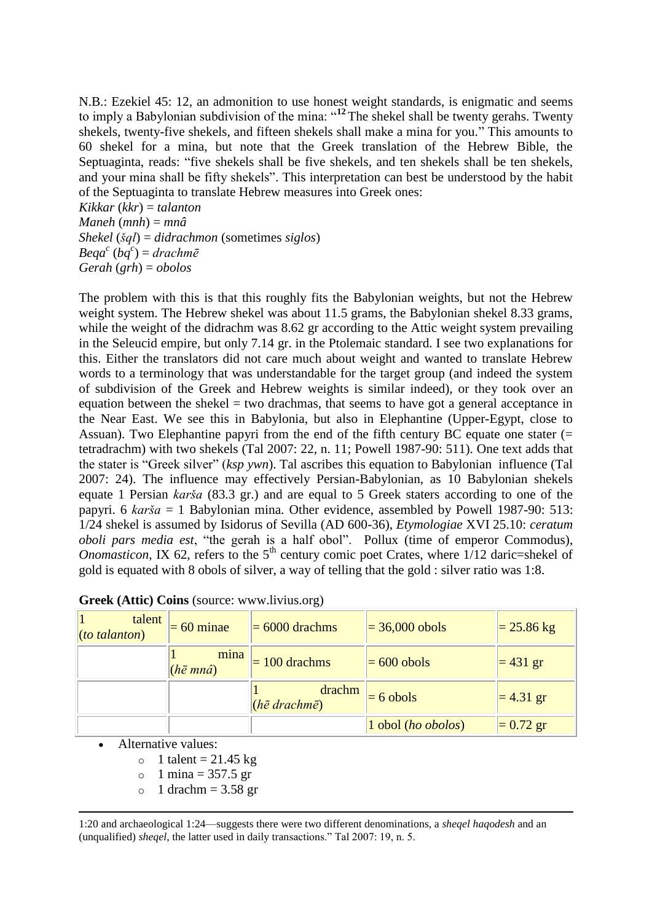N.B.: Ezekiel 45: 12, an admonition to use honest weight standards, is enigmatic and seems to imply a Babylonian subdivision of the mina: "**<sup>12</sup>** The shekel shall be twenty gerahs. Twenty shekels, twenty-five shekels, and fifteen shekels shall make a mina for you." This amounts to 60 shekel for a mina, but note that the Greek translation of the Hebrew Bible, the Septuaginta, reads: "five shekels shall be five shekels, and ten shekels shall be ten shekels, and your mina shall be fifty shekels". This interpretation can best be understood by the habit of the Septuaginta to translate Hebrew measures into Greek ones:

*Kikkar* (*kkr*) = *talanton Maneh* (*mnh*) = *mnâ Shekel* (*šql*) = *didrachmon* (sometimes *siglos*) *Beqa<sup>c</sup>* (*bq<sup>c</sup>* ) = *drachmē Gerah* (*grh*) = *obolos*

The problem with this is that this roughly fits the Babylonian weights, but not the Hebrew weight system. The Hebrew shekel was about 11.5 grams, the Babylonian shekel 8.33 grams, while the weight of the didrachm was 8.62 gr according to the Attic weight system prevailing in the Seleucid empire, but only 7.14 gr. in the Ptolemaic standard. I see two explanations for this. Either the translators did not care much about weight and wanted to translate Hebrew words to a terminology that was understandable for the target group (and indeed the system of subdivision of the Greek and Hebrew weights is similar indeed), or they took over an equation between the shekel  $=$  two drachmas, that seems to have got a general acceptance in the Near East. We see this in Babylonia, but also in Elephantine (Upper-Egypt, close to Assuan). Two Elephantine papyri from the end of the fifth century BC equate one stater (= tetradrachm) with two shekels (Tal 2007: 22, n. 11; Powell 1987-90: 511). One text adds that the stater is "Greek silver" (*ksp ywn*). Tal ascribes this equation to Babylonian influence (Tal 2007: 24). The influence may effectively Persian-Babylonian, as 10 Babylonian shekels equate 1 Persian *karša* (83.3 gr.) and are equal to 5 Greek staters according to one of the papyri. 6 *karša* = 1 Babylonian mina. Other evidence, assembled by Powell 1987-90: 513: 1/24 shekel is assumed by Isidorus of Sevilla (AD 600-36), *Etymologiae* XVI 25.10: *ceratum oboli pars media est*, "the gerah is a half obol". Pollux (time of emperor Commodus), *Onomasticon*, IX 62, refers to the  $5<sup>th</sup>$  century comic poet Crates, where  $1/12$  daric=shekel of gold is equated with 8 obols of silver, a way of telling that the gold : silver ratio was 1:8.

| talent<br>$(to$ talanton) | $= 60$ minae             | $= 6000$ drachms                         | $= 36,000$ obols   | $= 25.86$ kg |
|---------------------------|--------------------------|------------------------------------------|--------------------|--------------|
|                           | mina<br>$(h\bar{e}$ mnâ) | $= 100$ drachms                          | $= 600$ obols      | $= 431$ gr   |
|                           |                          | drachm<br>$(h\bar{e}$ drachm $\bar{e}$ ) | $= 6$ obols        | $= 4.31$ gr  |
|                           |                          |                                          | 1 obol (ho obolos) | $= 0.72$ gr  |

|  |  |  |  | Greek (Attic) Coins (source: www.livius.org) |  |
|--|--|--|--|----------------------------------------------|--|
|--|--|--|--|----------------------------------------------|--|

Alternative values:

 $\circ$  1 talent = 21.45 kg

 $\circ$  1 mina = 357.5 gr

 $\circ$  1 drachm = 3.58 gr

**.** 1:20 and archaeological 1:24—suggests there were two different denominations, a *sheqel haqodesh* and an (unqualified) *sheqel*, the latter used in daily transactions." Tal 2007: 19, n. 5.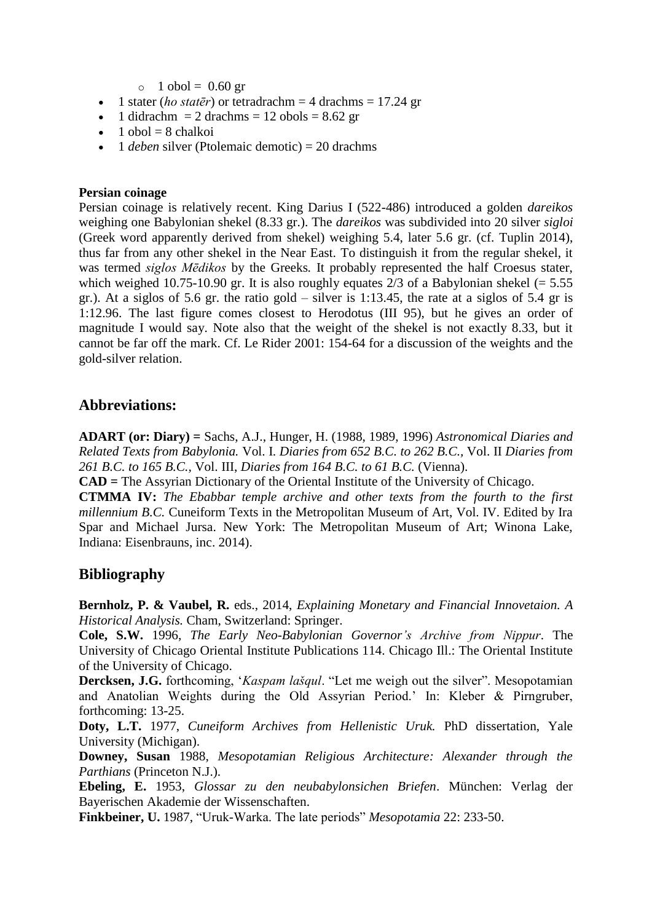$\circ$  1 obol = 0.60 gr

- $\bullet$  1 stater (*ho statēr*) or tetradrachm = 4 drachms = 17.24 gr
- $\bullet$  1 didrachm = 2 drachms = 12 obols = 8.62 gr
- $\bullet$  1 obol = 8 chalkoi
- 1 *deben* silver (Ptolemaic demotic) = 20 drachms

## **Persian coinage**

Persian coinage is relatively recent. King Darius I (522-486) introduced a golden *dareikos* weighing one Babylonian shekel (8.33 gr.). The *dareikos* was subdivided into 20 silver *sigloi* (Greek word apparently derived from shekel) weighing 5.4, later 5.6 gr. (cf. Tuplin 2014), thus far from any other shekel in the Near East. To distinguish it from the regular shekel, it was termed *siglos Mēdikos* by the Greeks*.* It probably represented the half Croesus stater, which weighed 10.75-10.90 gr. It is also roughly equates 2/3 of a Babylonian shekel ( $= 5.55$ ) gr.). At a siglos of 5.6 gr. the ratio gold – silver is 1:13.45, the rate at a siglos of 5.4 gr is 1:12.96. The last figure comes closest to Herodotus (III 95), but he gives an order of magnitude I would say. Note also that the weight of the shekel is not exactly 8.33, but it cannot be far off the mark. Cf. Le Rider 2001: 154-64 for a discussion of the weights and the gold-silver relation.

# **Abbreviations:**

**ADART (or: Diary) =** Sachs, A.J., Hunger, H. (1988, 1989, 1996) *Astronomical Diaries and Related Texts from Babylonia.* Vol. I. *Diaries from 652 B.C. to 262 B.C.,* Vol. II *Diaries from 261 B.C. to 165 B.C.,* Vol. III, *Diaries from 164 B.C. to 61 B.C.* (Vienna).

**CAD =** The Assyrian Dictionary of the Oriental Institute of the University of Chicago.

**CTMMA IV:** *The Ebabbar temple archive and other texts from the fourth to the first millennium B.C.* Cuneiform Texts in the Metropolitan Museum of Art, Vol. IV. Edited by Ira Spar and Michael Jursa. New York: The Metropolitan Museum of Art; Winona Lake, Indiana: Eisenbrauns, inc. 2014).

# **Bibliography**

**Bernholz, P. & Vaubel, R.** eds., 2014, *Explaining Monetary and Financial Innovetaion. A Historical Analysis.* Cham, Switzerland: Springer.

**Cole, S.W.** 1996, *The Early Neo-Babylonian Governor's Archive from Nippur*. The University of Chicago Oriental Institute Publications 114. Chicago Ill.: The Oriental Institute of the University of Chicago.

**Dercksen, J.G.** forthcoming, '*Kaspam lašqul*. "Let me weigh out the silver". Mesopotamian and Anatolian Weights during the Old Assyrian Period.' In: Kleber & Pirngruber, forthcoming: 13-25.

**Doty, L.T.** 1977, *Cuneiform Archives from Hellenistic Uruk.* PhD dissertation, Yale University (Michigan).

**Downey, Susan** 1988, *Mesopotamian Religious Architecture: Alexander through the Parthians* (Princeton N.J.).

**Ebeling, E.** 1953, *Glossar zu den neubabylonsichen Briefen*. München: Verlag der Bayerischen Akademie der Wissenschaften.

**Finkbeiner, U.** 1987, "Uruk-Warka. The late periods" *Mesopotamia* 22: 233-50.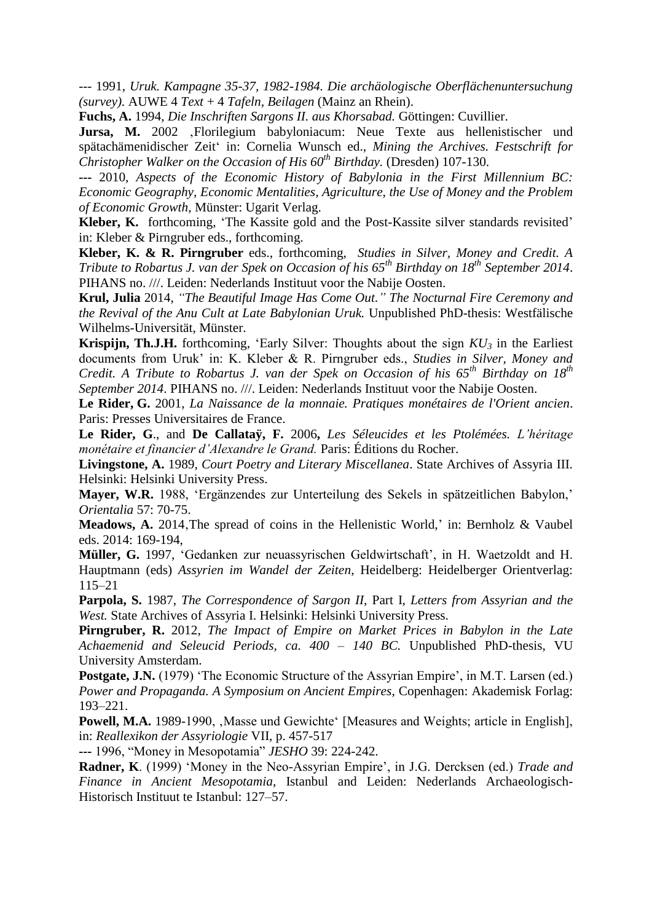--- 1991, *Uruk. Kampagne 35-37, 1982-1984. Die archäologische Oberflächenuntersuchung (survey).* AUWE 4 *Text* + 4 *Tafeln, Beilagen* (Mainz an Rhein).

**Fuchs, A.** 1994, *Die Inschriften Sargons II. aus Khorsabad.* Göttingen: Cuvillier.

Jursa, M. 2002 , Florilegium babyloniacum: Neue Texte aus hellenistischer und spätachämenidischer Zeit' in: Cornelia Wunsch ed., *Mining the Archives. Festschrift for Christopher Walker on the Occasion of His 60th Birthday.* (Dresden) 107-130.

**---** 2010, *Aspects of the Economic History of Babylonia in the First Millennium BC: Economic Geography, Economic Mentalities, Agriculture, the Use of Money and the Problem of Economic Growth*, Münster: Ugarit Verlag.

**Kleber, K.** forthcoming, 'The Kassite gold and the Post-Kassite silver standards revisited' in: Kleber & Pirngruber eds., forthcoming.

**Kleber, K. & R. Pirngruber** eds., forthcoming, *Studies in Silver, Money and Credit. A Tribute to Robartus J. van der Spek on Occasion of his 65th Birthday on 18th September 2014*. PIHANS no. ///. Leiden: Nederlands Instituut voor the Nabije Oosten.

**Krul, Julia** 2014, *"The Beautiful Image Has Come Out." The Nocturnal Fire Ceremony and the Revival of the Anu Cult at Late Babylonian Uruk.* Unpublished PhD-thesis: Westfälische Wilhelms-Universität, Münster.

**Krispijn, Th.J.H.** forthcoming, 'Early Silver: Thoughts about the sign  $KU_3$  in the Earliest documents from Uruk' in: K. Kleber & R. Pirngruber eds., *Studies in Silver, Money and Credit. A Tribute to Robartus J. van der Spek on Occasion of his 65th Birthday on 18th September 2014*. PIHANS no. ///. Leiden: Nederlands Instituut voor the Nabije Oosten.

**Le Rider, G.** 2001, *La Naissance de la monnaie. Pratiques monétaires de l'Orient ancien*. Paris: Presses Universitaires de France.

**Le Rider, G**., and **De Callataÿ, F.** 2006**,** *Les Séleucides et les Ptolémées. L'héritage monétaire et financier d'Alexandre le Grand.* Paris: Éditions du Rocher.

**Livingstone, A.** 1989, *Court Poetry and Literary Miscellanea*. State Archives of Assyria III. Helsinki: Helsinki University Press.

**Mayer, W.R.** 1988, 'Ergänzendes zur Unterteilung des Sekels in spätzeitlichen Babylon,' *Orientalia* 57: 70-75.

**Meadows, A.** 2014, The spread of coins in the Hellenistic World,' in: Bernholz & Vaubel eds. 2014: 169-194,

**Müller, G.** 1997, 'Gedanken zur neuassyrischen Geldwirtschaft', in H. Waetzoldt and H. Hauptmann (eds) *Assyrien im Wandel der Zeiten*, Heidelberg: Heidelberger Orientverlag: 115–21

**Parpola, S.** 1987, *The Correspondence of Sargon II,* Part I, *Letters from Assyrian and the West.* State Archives of Assyria I. Helsinki: Helsinki University Press.

**Pirngruber, R.** 2012, *The Impact of Empire on Market Prices in Babylon in the Late Achaemenid and Seleucid Periods, ca. 400 – 140 BC.* Unpublished PhD-thesis, VU University Amsterdam.

**Postgate, J.N.** (1979) 'The Economic Structure of the Assyrian Empire', in M.T. Larsen (ed.) *Power and Propaganda. A Symposium on Ancient Empires*, Copenhagen: Akademisk Forlag: 193–221.

**Powell, M.A.** 1989-1990, Masse und Gewichte' [Measures and Weights; article in English], in: *Reallexikon der Assyriologie* VII, p. 457-517

**---** 1996, "Money in Mesopotamia" *JESHO* 39: 224-242.

**Radner, K**. (1999) 'Money in the Neo-Assyrian Empire', in J.G. Dercksen (ed.) *Trade and Finance in Ancient Mesopotamia*, Istanbul and Leiden: Nederlands Archaeologisch-Historisch Instituut te Istanbul: 127–57.